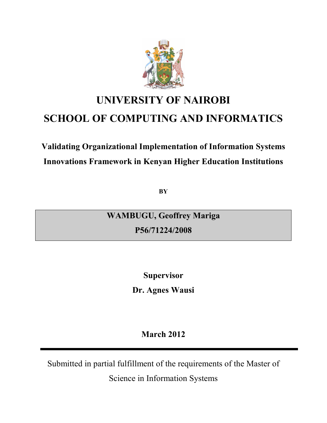

# **UNIVERSITY OF NAIROBI SCHOOL OF COMPUTING AND INFORMATICS**

# **Validating Organizational Implementation of Information Systems Innovations Framework in Kenyan Higher Education Institutions**

**BY** 

**WAMBUGU, Geoffrey Mariga** 

**P56/71224/2008** 

**Supervisor Dr. Agnes Wausi** 

**March 2012** 

Submitted in partial fulfillment of the requirements of the Master of

Science in Information Systems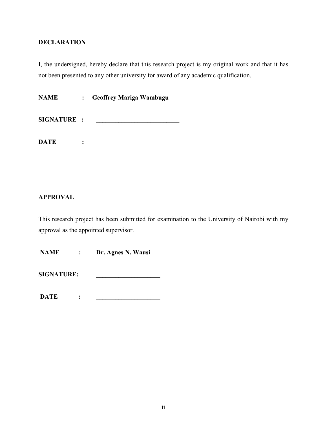## <span id="page-1-0"></span>**DECLARATION**

I, the undersigned, hereby declare that this research project is my original work and that it has not been presented to any other university for award of any academic qualification.

**NAME : Geoffrey Mariga Wambugu** 

SIGNATURE :

**DATE : \_\_\_\_\_\_\_\_\_\_\_\_\_\_\_\_\_\_\_\_\_\_\_\_\_\_** 

## **APPROVAL**

This research project has been submitted for examination to the University of Nairobi with my approval as the appointed supervisor.

 **NAME : Dr. Agnes N. Wausi** 

**SIGNATURE: \_\_\_\_\_\_\_\_\_\_\_\_\_\_\_\_\_\_\_\_** 

**DATE** : <u>\_\_\_\_\_\_\_\_\_\_\_\_\_</u>\_\_\_\_\_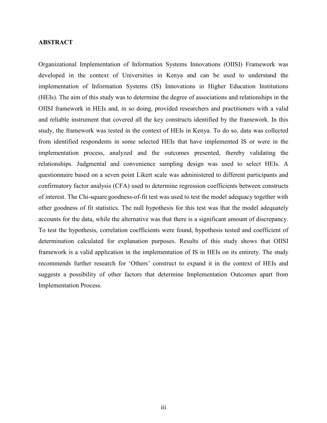#### <span id="page-2-0"></span>**ABSTRACT**

Organizational Implementation of Information Systems Innovations (OIISI) Framework was developed in the context of Universities in Kenya and can be used to understand the implementation of Information Systems (IS) Innovations in Higher Education Institutions (HEIs). The aim of this study was to determine the degree of associations and relationships in the OIISI framework in HEIs and, in so doing, provided researchers and practitioners with a valid and reliable instrument that covered all the key constructs identified by the framework. In this study, the framework was tested in the context of HEIs in Kenya. To do so, data was collected from identified respondents in some selected HEIs that have implemented IS or were in the implementation process, analyzed and the outcomes presented, thereby validating the relationships. Judgmental and convenience sampling design was used to select HEIs. A questionnaire based on a seven point Likert scale was administered to different participants and confirmatory factor analysis (CFA) used to determine regression coefficients between constructs of interest. The Chi-square goodness-of-fit test was used to test the model adequacy together with other goodness of fit statistics. The null hypothesis for this test was that the model adequately accounts for the data, while the alternative was that there is a significant amount of discrepancy. To test the hypothesis, correlation coefficients were found, hypothesis tested and coefficient of determination calculated for explanation purposes. Results of this study shows that OIISI framework is a valid application in the implementation of IS in HEIs on its entirety. The study recommends further research for 'Others' construct to expand it in the context of HEIs and suggests a possibility of other factors that determine Implementation Outcomes apart from Implementation Process.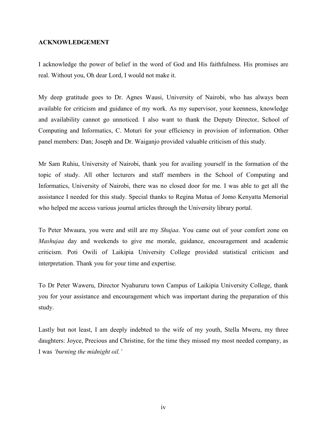#### <span id="page-3-0"></span>**ACKNOWLEDGEMENT**

I acknowledge the power of belief in the word of God and His faithfulness. His promises are real. Without you, Oh dear Lord, I would not make it.

My deep gratitude goes to Dr. Agnes Wausi, University of Nairobi, who has always been available for criticism and guidance of my work. As my supervisor, your keenness, knowledge and availability cannot go unnoticed. I also want to thank the Deputy Director, School of Computing and Informatics, C. Moturi for your efficiency in provision of information. Other panel members: Dan; Joseph and Dr. Waiganjo provided valuable criticism of this study.

Mr Sam Ruhiu, University of Nairobi, thank you for availing yourself in the formation of the topic of study. All other lecturers and staff members in the School of Computing and Informatics, University of Nairobi, there was no closed door for me. I was able to get all the assistance I needed for this study. Special thanks to Regina Mutua of Jomo Kenyatta Memorial who helped me access various journal articles through the University library portal.

To Peter Mwaura, you were and still are my *Shujaa*. You came out of your comfort zone on *Mashujaa* day and weekends to give me morale, guidance, encouragement and academic criticism. Poti Owili of Laikipia University College provided statistical criticism and interpretation. Thank you for your time and expertise.

To Dr Peter Waweru, Director Nyahururu town Campus of Laikipia University College, thank you for your assistance and encouragement which was important during the preparation of this study.

Lastly but not least, I am deeply indebted to the wife of my youth, Stella Mweru, my three daughters: Joyce, Precious and Christine, for the time they missed my most needed company, as I was *'burning the midnight oil.'*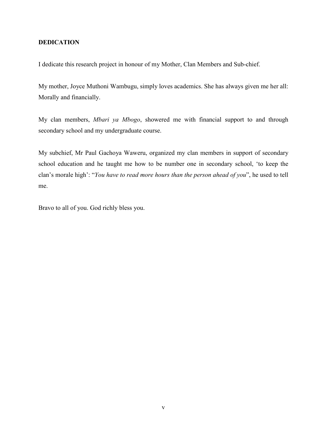## <span id="page-4-0"></span>**DEDICATION**

I dedicate this research project in honour of my Mother, Clan Members and Sub-chief.

My mother, Joyce Muthoni Wambugu, simply loves academics. She has always given me her all: Morally and financially.

My clan members, *Mbari ya Mbogo*, showered me with financial support to and through secondary school and my undergraduate course.

My subchief, Mr Paul Gachoya Waweru, organized my clan members in support of secondary school education and he taught me how to be number one in secondary school, 'to keep the clan's morale high': "*You have to read more hours than the person ahead of you*", he used to tell me.

Bravo to all of you. God richly bless you.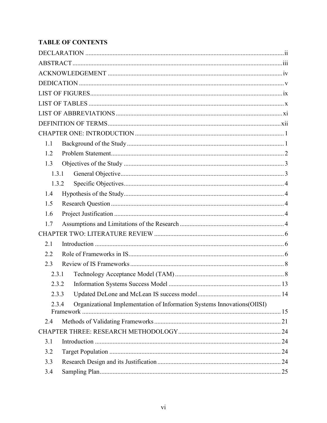# **TABLE OF CONTENTS**

| 1.1   |                                                                                       |  |  |  |
|-------|---------------------------------------------------------------------------------------|--|--|--|
| 1.2   |                                                                                       |  |  |  |
| 1.3   |                                                                                       |  |  |  |
| 1.3.1 |                                                                                       |  |  |  |
| 1.3.2 |                                                                                       |  |  |  |
| 1.4   |                                                                                       |  |  |  |
| 1.5   |                                                                                       |  |  |  |
| 1.6   |                                                                                       |  |  |  |
| 1.7   |                                                                                       |  |  |  |
|       |                                                                                       |  |  |  |
| 2.1   |                                                                                       |  |  |  |
| 2.2   |                                                                                       |  |  |  |
| 2.3   |                                                                                       |  |  |  |
| 2.3.1 |                                                                                       |  |  |  |
| 2.3.2 |                                                                                       |  |  |  |
| 2.3.3 |                                                                                       |  |  |  |
| 2.3.4 | Organizational Implementation of Information Systems Innovations(OIISI)<br>Framework. |  |  |  |
| 2.4   |                                                                                       |  |  |  |
|       |                                                                                       |  |  |  |
| 3.1   |                                                                                       |  |  |  |
| 3.2   |                                                                                       |  |  |  |
| 3.3   |                                                                                       |  |  |  |
| 3.4   |                                                                                       |  |  |  |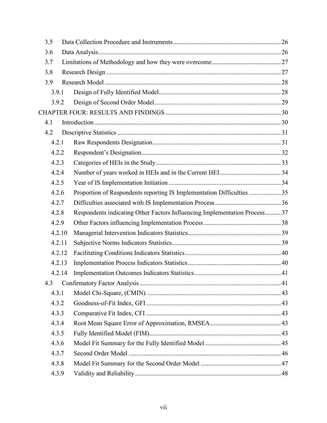| 3.5 |        |       |                                                                            |  |  |  |  |
|-----|--------|-------|----------------------------------------------------------------------------|--|--|--|--|
| 3.6 |        |       |                                                                            |  |  |  |  |
| 3.7 |        |       |                                                                            |  |  |  |  |
| 3.8 |        |       |                                                                            |  |  |  |  |
| 3.9 |        |       |                                                                            |  |  |  |  |
|     | 3.9.1  |       |                                                                            |  |  |  |  |
|     | 3.9.2  |       |                                                                            |  |  |  |  |
|     |        |       |                                                                            |  |  |  |  |
| 4.1 |        |       |                                                                            |  |  |  |  |
| 4.2 |        |       |                                                                            |  |  |  |  |
|     | 4.2.1  |       |                                                                            |  |  |  |  |
|     | 4.2.2  |       |                                                                            |  |  |  |  |
|     | 4.2.3  |       |                                                                            |  |  |  |  |
|     | 4.2.4  |       |                                                                            |  |  |  |  |
|     | 4.2.5  |       |                                                                            |  |  |  |  |
|     | 4.2.6  |       | Proportion of Respondents reporting IS Implementation Difficulties  35     |  |  |  |  |
|     | 4.2.7  |       |                                                                            |  |  |  |  |
|     | 4.2.8  |       | Respondents indicating Other Factors Influencing Implementation Process 37 |  |  |  |  |
|     | 4.2.9  |       |                                                                            |  |  |  |  |
|     | 4.2.10 |       |                                                                            |  |  |  |  |
|     | 4.2.11 |       |                                                                            |  |  |  |  |
|     | 4.2.12 |       |                                                                            |  |  |  |  |
|     | 4.2.13 |       |                                                                            |  |  |  |  |
|     | 4.2.14 |       |                                                                            |  |  |  |  |
| 4.3 |        |       |                                                                            |  |  |  |  |
|     | 4.3.1  |       |                                                                            |  |  |  |  |
|     | 4.3.2  |       |                                                                            |  |  |  |  |
|     | 4.3.3  |       |                                                                            |  |  |  |  |
|     | 4.3.4  |       |                                                                            |  |  |  |  |
|     | 4.3.5  |       |                                                                            |  |  |  |  |
|     | 4.3.6  |       |                                                                            |  |  |  |  |
|     | 4.3.7  |       |                                                                            |  |  |  |  |
|     | 4.3.8  |       |                                                                            |  |  |  |  |
|     |        | 4.3.9 |                                                                            |  |  |  |  |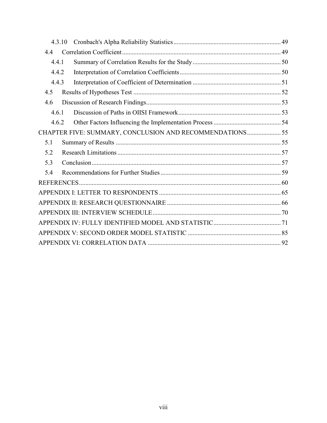| 4.3.10 |                                                          |  |  |  |  |
|--------|----------------------------------------------------------|--|--|--|--|
| 4.4    |                                                          |  |  |  |  |
| 4.4.1  |                                                          |  |  |  |  |
| 4.4.2  |                                                          |  |  |  |  |
| 4.4.3  |                                                          |  |  |  |  |
| 4.5    |                                                          |  |  |  |  |
| 4.6    |                                                          |  |  |  |  |
| 4.6.1  |                                                          |  |  |  |  |
| 4.6.2  |                                                          |  |  |  |  |
|        | CHAPTER FIVE: SUMMARY, CONCLUSION AND RECOMMENDATIONS 55 |  |  |  |  |
| 5.1    |                                                          |  |  |  |  |
| 5.2    |                                                          |  |  |  |  |
| 5.3    |                                                          |  |  |  |  |
| 5.4    |                                                          |  |  |  |  |
|        |                                                          |  |  |  |  |
|        |                                                          |  |  |  |  |
|        |                                                          |  |  |  |  |
|        |                                                          |  |  |  |  |
|        |                                                          |  |  |  |  |
|        |                                                          |  |  |  |  |
|        |                                                          |  |  |  |  |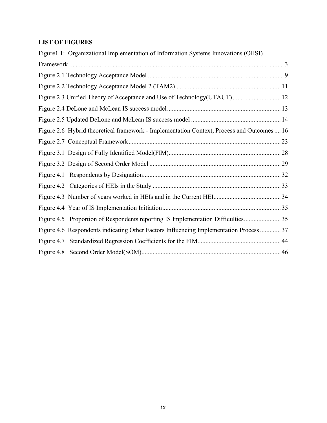## <span id="page-8-0"></span>**LIST OF FIGURES**

| Figure1.1: Organizational Implementation of Information Systems Innovations (OIISI)        |  |
|--------------------------------------------------------------------------------------------|--|
|                                                                                            |  |
|                                                                                            |  |
|                                                                                            |  |
| Figure 2.3 Unified Theory of Acceptance and Use of Technology(UTAUT) 12                    |  |
|                                                                                            |  |
|                                                                                            |  |
| Figure 2.6 Hybrid theoretical framework - Implementation Context, Process and Outcomes  16 |  |
|                                                                                            |  |
|                                                                                            |  |
|                                                                                            |  |
|                                                                                            |  |
|                                                                                            |  |
|                                                                                            |  |
|                                                                                            |  |
|                                                                                            |  |
| Figure 4.6 Respondents indicating Other Factors Influencing Implementation Process  37     |  |
|                                                                                            |  |
|                                                                                            |  |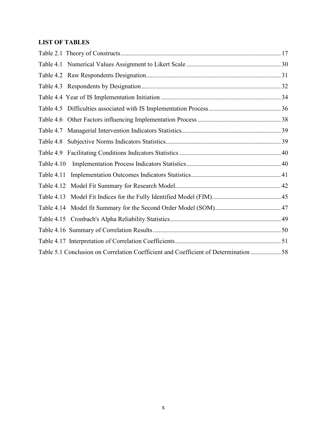## <span id="page-9-0"></span>**LIST OF TABLES**

| Table 4.7  |                                                                                      |  |
|------------|--------------------------------------------------------------------------------------|--|
| Table 4.8  |                                                                                      |  |
|            |                                                                                      |  |
| Table 4.10 |                                                                                      |  |
| Table 4.11 |                                                                                      |  |
|            |                                                                                      |  |
|            |                                                                                      |  |
|            |                                                                                      |  |
|            |                                                                                      |  |
|            |                                                                                      |  |
|            |                                                                                      |  |
|            | Table 5.1 Conclusion on Correlation Coefficient and Coefficient of Determination  58 |  |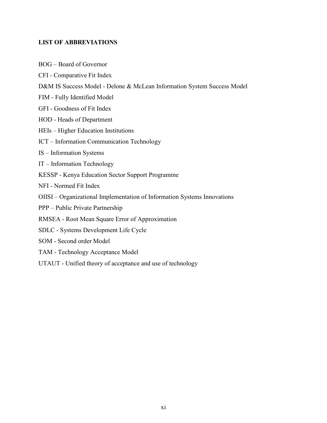## <span id="page-10-0"></span>**LIST OF ABBREVIATIONS**

- BOG Board of Governor
- CFI Comparative Fit Index
- D&M IS Success Model Delone & McLean Information System Success Model
- FIM Fully Identified Model
- GFI Goodness of Fit Index
- HOD Heads of Department
- HEIs Higher Education Institutions
- ICT Information Communication Technology
- IS Information Systems
- IT Information Technology
- KESSP Kenya Education Sector Support Programme
- NFI Normed Fit Index
- OIISI Organizational Implementation of Information Systems Innovations
- PPP Public Private Partnership
- RMSEA Root Mean Square Error of Approximation
- SDLC Systems Development Life Cycle
- SOM Second order Model
- TAM Technology Acceptance Model
- UTAUT Unified theory of acceptance and use of technology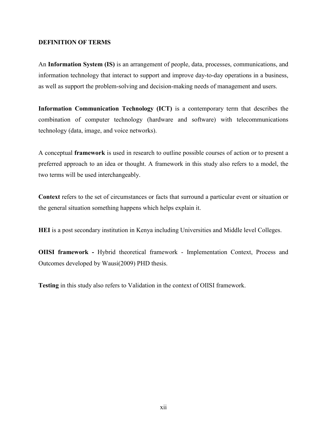#### <span id="page-11-0"></span>**DEFINITION OF TERMS**

An **Information System (IS)** is an arrangement of people, data, processes, communications, and information technology that interact to support and improve day-to-day operations in a business, as well as support the problem-solving and decision-making needs of management and users.

**Information Communication Technology (ICT)** is a contemporary term that describes the combination of computer technology (hardware and software) with telecommunications technology (data, image, and voice networks).

A conceptual **framework** is used in [research](http://en.wikipedia.org/wiki/Research) to outline possible courses of action or to present a preferred approach to an idea or thought. A framework in this study also refers to a model, the two terms will be used interchangeably.

**Context** refers to the set of circumstances or facts that surround a particular event or situation or the general situation something happens which helps explain it.

**HEI** is a post secondary institution in Kenya including Universities and Middle level Colleges.

**OIISI framework -** Hybrid theoretical framework - Implementation Context, Process and Outcomes developed by Wausi(2009) PHD thesis.

**Testing** in this study also refers to Validation in the context of OIISI framework.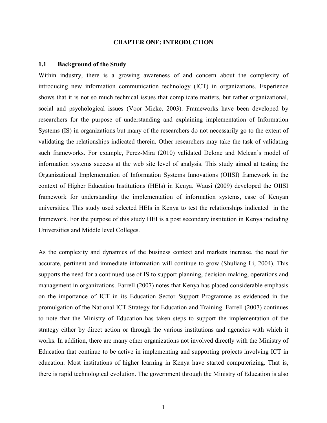#### **CHAPTER ONE: INTRODUCTION**

#### <span id="page-12-0"></span>**1.1 Background of the Study**

Within industry, there is a growing awareness of and concern about the complexity of introducing new information communication technology (ICT) in organizations. Experience shows that it is not so much technical issues that complicate matters, but rather organizational, social and psychological issues (Voor Mieke, 2003). Frameworks have been developed by researchers for the purpose of understanding and explaining implementation of Information Systems (IS) in organizations but many of the researchers do not necessarily go to the extent of validating the relationships indicated therein. Other researchers may take the task of validating such frameworks. For example, Perez-Mira (2010) validated Delone and Mclean's model of information systems success at the web site level of analysis. This study aimed at testing the Organizational Implementation of Information Systems Innovations (OIISI) framework in the context of Higher Education Institutions (HEIs) in Kenya. Wausi (2009) developed the OIISI framework for understanding the implementation of information systems, case of Kenyan universities. This study used selected HEIs in Kenya to test the relationships indicated in the framework. For the purpose of this study HEI is a post secondary institution in Kenya including Universities and Middle level Colleges.

As the complexity and dynamics of the business context and markets increase, the need for accurate, pertinent and immediate information will continue to grow (Shuliang Li, 2004). This supports the need for a continued use of IS to support planning, decision-making, operations and management in organizations. Farrell (2007) notes that Kenya has placed considerable emphasis on the importance of ICT in its Education Sector Support Programme as evidenced in the promulgation of the National ICT Strategy for Education and Training. Farrell (2007) continues to note that the Ministry of Education has taken steps to support the implementation of the strategy either by direct action or through the various institutions and agencies with which it works. In addition, there are many other organizations not involved directly with the Ministry of Education that continue to be active in implementing and supporting projects involving ICT in education. Most institutions of higher learning in Kenya have started computerizing. That is, there is rapid technological evolution. The government through the Ministry of Education is also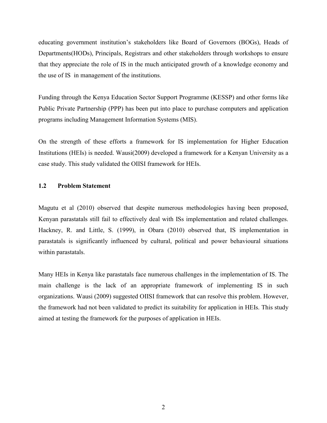<span id="page-13-0"></span>educating government institution's stakeholders like Board of Governors (BOGs), Heads of Departments(HODs), Principals, Registrars and other stakeholders through workshops to ensure that they appreciate the role of IS in the much anticipated growth of a knowledge economy and the use of IS in management of the institutions.

Funding through the Kenya Education Sector Support Programme (KESSP) and other forms like Public Private Partnership (PPP) has been put into place to purchase computers and application programs including Management Information Systems (MIS).

On the strength of these efforts a framework for IS implementation for Higher Education Institutions (HEIs) is needed. Wausi(2009) developed a framework for a Kenyan University as a case study. This study validated the OIISI framework for HEIs.

## **1.2 Problem Statement**

Magutu et al (2010) observed that despite numerous methodologies having been proposed, Kenyan parastatals still fail to effectively deal with ISs implementation and related challenges. Hackney, R. and Little, S. (1999), in Obara (2010) observed that, IS implementation in parastatals is significantly influenced by cultural, political and power behavioural situations within parastatals.

Many HEIs in Kenya like parastatals face numerous challenges in the implementation of IS. The main challenge is the lack of an appropriate framework of implementing IS in such organizations. Wausi (2009) suggested OIISI framework that can resolve this problem. However, the framework had not been validated to predict its suitability for application in HEIs. This study aimed at testing the framework for the purposes of application in HEIs.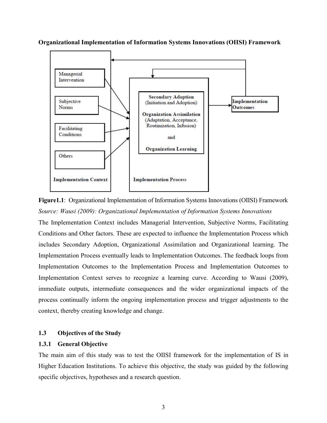<span id="page-14-0"></span>**Organizational Implementation of Information Systems Innovations (OIISI) Framework** 



**Figure1.1**: Organizational Implementation of Information Systems Innovations (OIISI) Framework *Source: Wausi (2009): Organizational Implementation of Information Systems Innovations* 

The Implementation Context includes Managerial Intervention, Subjective Norms, Facilitating Conditions and Other factors. These are expected to influence the Implementation Process which includes Secondary Adoption, Organizational Assimilation and Organizational learning. The Implementation Process eventually leads to Implementation Outcomes. The feedback loops from Implementation Outcomes to the Implementation Process and Implementation Outcomes to Implementation Context serves to recognize a learning curve. According to Wausi (2009), immediate outputs, intermediate consequences and the wider organizational impacts of the process continually inform the ongoing implementation process and trigger adjustments to the context, thereby creating knowledge and change.

## **1.3 Objectives of the Study**

#### **1.3.1 General Objective**

The main aim of this study was to test the OIISI framework for the implementation of IS in Higher Education Institutions. To achieve this objective, the study was guided by the following specific objectives, hypotheses and a research question.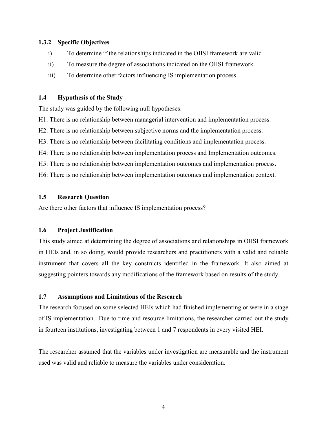## <span id="page-15-0"></span>**1.3.2 Specific Objectives**

- i) To determine if the relationships indicated in the OIISI framework are valid
- ii) To measure the degree of associations indicated on the OIISI framework
- iii) To determine other factors influencing IS implementation process

### **1.4 Hypothesis of the Study**

The study was guided by the following null hypotheses:

- H1: There is no relationship between managerial intervention and implementation process.
- H2: There is no relationship between subjective norms and the implementation process.
- H3: There is no relationship between facilitating conditions and implementation process.
- H4: There is no relationship between implementation process and Implementation outcomes.
- H5: There is no relationship between implementation outcomes and implementation process.

H6: There is no relationship between implementation outcomes and implementation context.

## **1.5 Research Question**

Are there other factors that influence IS implementation process?

## **1.6 Project Justification**

This study aimed at determining the degree of associations and relationships in OIISI framework in HEIs and, in so doing, would provide researchers and practitioners with a valid and reliable instrument that covers all the key constructs identified in the framework. It also aimed at suggesting pointers towards any modifications of the framework based on results of the study.

## **1.7 Assumptions and Limitations of the Research**

The research focused on some selected HEIs which had finished implementing or were in a stage of IS implementation. Due to time and resource limitations, the researcher carried out the study in fourteen institutions, investigating between 1 and 7 respondents in every visited HEI.

The researcher assumed that the variables under investigation are measurable and the instrument used was valid and reliable to measure the variables under consideration.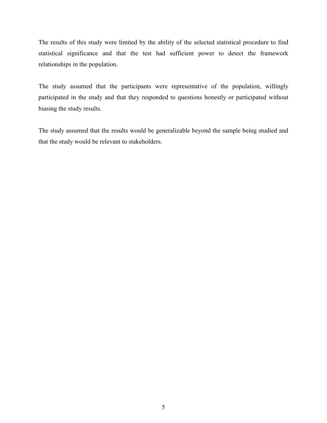The results of this study were limited by the ability of the selected statistical procedure to find statistical significance and that the test had sufficient power to detect the framework relationships in the population.

The study assumed that the participants were representative of the population, willingly participated in the study and that they responded to questions honestly or participated without biasing the study results.

The study assumed that the results would be generalizable beyond the sample being studied and that the study would be relevant to stakeholders.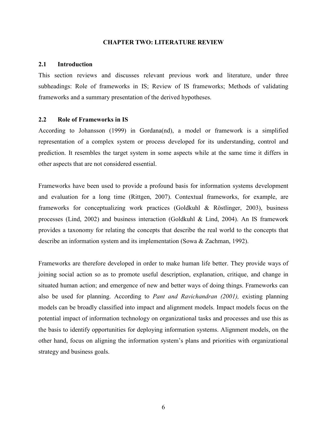#### **CHAPTER TWO: LITERATURE REVIEW**

#### <span id="page-17-0"></span>**2.1 Introduction**

This section reviews and discusses relevant previous work and literature, under three subheadings: Role of frameworks in IS; Review of IS frameworks; Methods of validating frameworks and a summary presentation of the derived hypotheses.

#### **2.2 Role of Frameworks in IS**

According to Johansson (1999) in Gordana(nd), a model or framework is a simplified representation of a complex system or process developed for its understanding, control and prediction. It resembles the target system in some aspects while at the same time it differs in other aspects that are not considered essential.

Frameworks have been used to provide a profound basis for information systems development and evaluation for a long time (Rittgen, 2007). Contextual frameworks, for example, are frameworks for conceptualizing work practices (Goldkuhl & Röstlinger, 2003), business processes (Lind, 2002) and business interaction (Goldkuhl & Lind, 2004). An IS framework provides a taxonomy for relating the concepts that describe the real world to the concepts that describe an information system and its implementation (Sowa & Zachman, 1992).

Frameworks are therefore developed in order to make human life better. They provide ways of joining social action so as to promote useful description, explanation, critique, and change in situated human action; and emergence of new and better ways of doing things. Frameworks can also be used for planning. According to *Pant and Ravichandran (2001),* existing planning models can be broadly classified into impact and alignment models. Impact models focus on the potential impact of information technology on organizational tasks and processes and use this as the basis to identify opportunities for deploying information systems. Alignment models, on the other hand, focus on aligning the information system's plans and priorities with organizational strategy and business goals.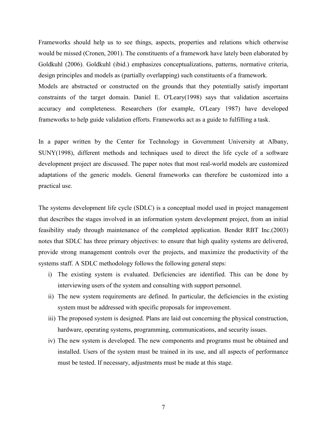Frameworks should help us to see things, aspects, properties and relations which otherwise would be missed (Cronen, 2001). The constituents of a framework have lately been elaborated by Goldkuhl (2006). Goldkuhl (ibid.) emphasizes conceptualizations, patterns, normative criteria, design principles and models as (partially overlapping) such constituents of a framework.

Models are abstracted or constructed on the grounds that they potentially satisfy important constraints of the target domain. Daniel E. O'Leary(1998) says that validation ascertains accuracy and completeness. Researchers (for example, O'Leary 1987) have developed frameworks to help guide validation efforts. Frameworks act as a guide to fulfilling a task.

In a paper written by the Center for Technology in Government University at Albany, SUNY(1998), different methods and techniques used to direct the life cycle of a software development project are discussed. The paper notes that most real-world models are customized adaptations of the generic models. General frameworks can therefore be customized into a practical use.

The systems development life cycle (SDLC) is a conceptual model used in project management that describes the stages involved in an information system development project, from an initial feasibility study through maintenance of the completed application. Bender RBT Inc.(2003) notes that SDLC has three primary objectives: to ensure that high quality systems are delivered, provide strong management controls over the projects, and maximize the productivity of the systems staff. A SDLC methodology follows the following general steps:

- i) The existing system is evaluated. Deficiencies are identified. This can be done by interviewing users of the system and consulting with support personnel.
- ii) The new system requirements are defined. In particular, the deficiencies in the existing system must be addressed with specific proposals for improvement.
- iii) The proposed system is designed. Plans are laid out concerning the physical construction, hardware, operating systems, programming, communications, and security issues.
- iv) The new system is developed. The new components and programs must be obtained and installed. Users of the system must be trained in its use, and all aspects of performance must be tested. If necessary, adjustments must be made at this stage.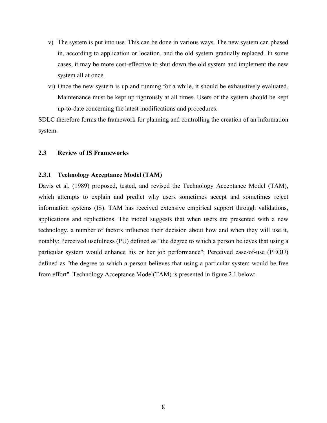- <span id="page-19-0"></span>v) The system is put into use. This can be done in various ways. The new system can phased in, according to application or location, and the old system gradually replaced. In some cases, it may be more cost-effective to shut down the old system and implement the new system all at once.
- vi) Once the new system is up and running for a while, it should be exhaustively evaluated. Maintenance must be kept up rigorously at all times. Users of the system should be kept up-to-date concerning the latest modifications and procedures.

SDLC therefore forms the framework for planning and controlling the creation of an information system.

#### **2.3 Review of IS Frameworks**

#### **2.3.1 Technology Acceptance Model (TAM)**

Davis et al. (1989) proposed, tested, and revised the Technology Acceptance Model (TAM), which attempts to explain and predict why users sometimes accept and sometimes reject information systems (IS). TAM has received extensive empirical support through validations, applications and replications. The model suggests that when users are presented with a new technology, a number of factors influence their decision about how and when they will use it, notably: Perceived usefulness (PU) defined as "the degree to which a person believes that using a particular system would enhance his or her job performance"; Perceived ease-of-use (PEOU) defined as "the degree to which a person believes that using a particular system would be free from effort". Technology Acceptance Model(TAM) is presented in figure 2.1 below: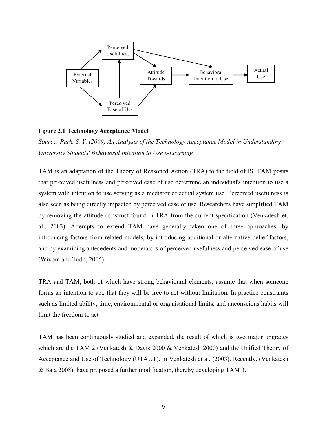<span id="page-20-0"></span>

#### **Figure 2.1 Technology Acceptance Model**

*Source: Park, S. Y. (2009) An Analysis of the Technology Acceptance Model in Understanding University Students' Behavioral Intention to Use e-Learning* 

TAM is an adaptation of the Theory of Reasoned Action (TRA) to the field of IS. TAM posits that perceived usefulness and perceived ease of use determine an individual's intention to use a system with intention to use serving as a mediator of actual system use. Perceived usefulness is also seen as being directly impacted by perceived ease of use. Researchers have simplified TAM by removing the attitude construct found in TRA from the current specification (Venkatesh et. al., 2003). Attempts to extend TAM have generally taken one of three approaches: by introducing factors from related models, by introducing additional or alternative belief factors, and by examining antecedents and moderators of perceived usefulness and perceived ease of use (Wixom and Todd, 2005).

TRA and TAM, both of which have strong behavioural elements, assume that when someone forms an intention to act, that they will be free to act without limitation. In practice constraints such as limited ability, time, environmental or organisational limits, and unconscious habits will limit the freedom to act

TAM has been continuously studied and expanded, the result of which is two major upgrades which are the TAM 2 (Venkatesh & Davis 2000 & Venkatesh 2000) and the Unified Theory of Acceptance and Use of Technology (UTAUT), in Venkatesh et al. (2003). Recently, (Venkatesh & Bala 2008), have proposed a further modification, thereby developing TAM 3.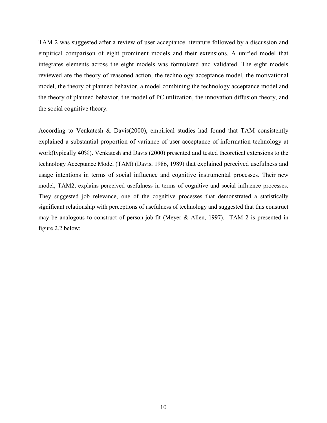TAM 2 was suggested after a review of user acceptance literature followed by a discussion and empirical comparison of eight prominent models and their extensions. A unified model that integrates elements across the eight models was formulated and validated. The eight models reviewed are the theory of reasoned action, the technology acceptance model, the motivational model, the theory of planned behavior, a model combining the technology acceptance model and the theory of planned behavior, the model of PC utilization, the innovation diffusion theory, and the social cognitive theory.

According to Venkatesh & Davis(2000), empirical studies had found that TAM consistently explained a substantial proportion of variance of user acceptance of information technology at work(typically 40%). Venkatesh and Davis (2000) presented and tested theoretical extensions to the technology Acceptance Model (TAM) (Davis, 1986, 1989) that explained perceived usefulness and usage intentions in terms of social influence and cognitive instrumental processes. Their new model, TAM2, explains perceived usefulness in terms of cognitive and social influence processes. They suggested job relevance, one of the cognitive processes that demonstrated a statistically significant relationship with perceptions of usefulness of technology and suggested that this construct may be analogous to construct of person-job-fit (Meyer & Allen, 1997). TAM 2 is presented in figure 2.2 below: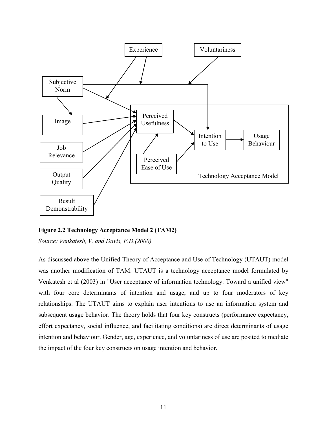<span id="page-22-0"></span>

**Figure 2.2 Technology Acceptance Model 2 (TAM2)** 

*Source: Venkatesh, V. and Davis, F.D.(2000)* 

As discussed above the Unified Theory of Acceptance and Use of Technology (UTAUT) model was another modification of TAM. UTAUT is a technology acceptance model formulated by Venkatesh et al (2003) in "User acceptance of information technology: Toward a unified view" with four core determinants of intention and usage, and up to four moderators of key relationships. The UTAUT aims to explain user intentions to use an information system and subsequent usage behavior. The theory holds that four key constructs (performance expectancy, effort expectancy, social influence, and facilitating conditions) are direct determinants of usage intention and behaviour. Gender, age, experience, and voluntariness of use are posited to mediate the impact of the four key constructs on usage intention and behavior.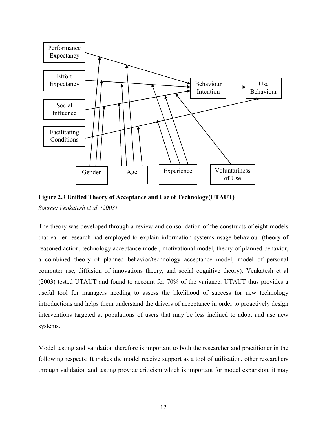<span id="page-23-0"></span>

**Figure 2.3 Unified Theory of Acceptance and Use of Technology(UTAUT)**  *Source: Venkatesh et al. (2003)* 

The theory was developed through a review and consolidation of the constructs of eight models that earlier research had employed to explain information systems usage behaviour (theory of reasoned action, technology acceptance model, motivational model, theory of planned behavior, a combined theory of planned behavior/technology acceptance model, model of personal computer use, diffusion of innovations theory, and social cognitive theory). Venkatesh et al (2003) tested UTAUT and found to account for 70% of the variance. UTAUT thus provides a useful tool for managers needing to assess the likelihood of success for new technology introductions and helps them understand the drivers of acceptance in order to proactively design interventions targeted at populations of users that may be less inclined to adopt and use new systems.

Model testing and validation therefore is important to both the researcher and practitioner in the following respects: It makes the model receive support as a tool of utilization, other researchers through validation and testing provide criticism which is important for model expansion, it may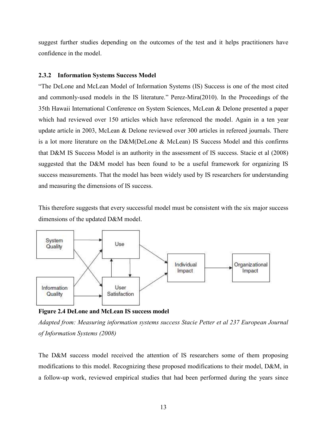<span id="page-24-0"></span>suggest further studies depending on the outcomes of the test and it helps practitioners have confidence in the model.

#### **2.3.2 Information Systems Success Model**

"The DeLone and McLean Model of Information Systems (IS) Success is one of the most cited and commonly-used models in the IS literature." Perez-Mira(2010). In the Proceedings of the 35th Hawaii International Conference on System Sciences, McLean & Delone presented a paper which had reviewed over 150 articles which have referenced the model. Again in a ten year update article in 2003, McLean & Delone reviewed over 300 articles in refereed journals. There is a lot more literature on the D&M(DeLone & McLean) IS Success Model and this confirms that D&M IS Success Model is an authority in the assessment of IS success. Stacie et al (2008) suggested that the D&M model has been found to be a useful framework for organizing IS success measurements. That the model has been widely used by IS researchers for understanding and measuring the dimensions of IS success.

This therefore suggests that every successful model must be consistent with the six major success dimensions of the updated D&M model.



**Figure 2.4 DeLone and McLean IS success model** 

*Adapted from: Measuring information systems success Stacie Petter et al 237 European Journal of Information Systems (2008)* 

The D&M success model received the attention of IS researchers some of them proposing modifications to this model. Recognizing these proposed modifications to their model, D&M, in a follow-up work, reviewed empirical studies that had been performed during the years since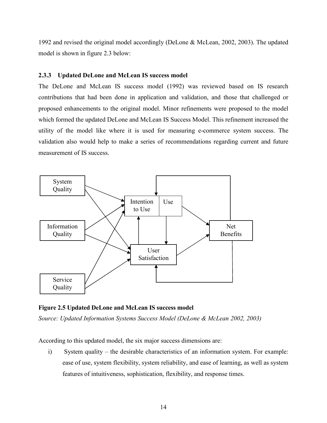<span id="page-25-0"></span>1992 and revised the original model accordingly (DeLone & McLean, 2002, 2003). The updated model is shown in figure 2.3 below:

### **2.3.3 Updated DeLone and McLean IS success model**

The DeLone and McLean IS success model (1992) was reviewed based on IS research contributions that had been done in application and validation, and those that challenged or proposed enhancements to the original model. Minor refinements were proposed to the model which formed the updated DeLone and McLean IS Success Model. This refinement increased the utility of the model like where it is used for measuring e-commerce system success. The validation also would help to make a series of recommendations regarding current and future measurement of IS success.



**Figure 2.5 Updated DeLone and McLean IS success model** 

*Source: Updated Information Systems Success Model (DeLone & McLean 2002, 2003)* 

According to this updated model, the six major success dimensions are:

i) System quality – the desirable characteristics of an information system. For example: ease of use, system flexibility, system reliability, and ease of learning, as well as system features of intuitiveness, sophistication, flexibility, and response times.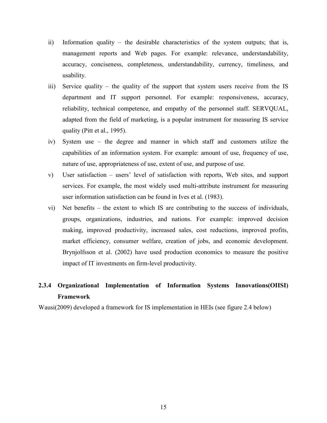- <span id="page-26-0"></span>ii) Information quality – the desirable characteristics of the system outputs; that is, management reports and Web pages. For example: relevance, understandability, accuracy, conciseness, completeness, understandability, currency, timeliness, and usability.
- iii) Service quality the quality of the support that system users receive from the IS department and IT support personnel. For example: responsiveness, accuracy, reliability, technical competence, and empathy of the personnel staff. SERVQUAL, adapted from the field of marketing, is a popular instrument for measuring IS service quality (Pitt et al., 1995).
- iv) System use the degree and manner in which staff and customers utilize the capabilities of an information system. For example: amount of use, frequency of use, nature of use, appropriateness of use, extent of use, and purpose of use.
- v) User satisfaction users' level of satisfaction with reports, Web sites, and support services. For example, the most widely used multi-attribute instrument for measuring user information satisfaction can be found in Ives et al. (1983).
- vi) Net benefits the extent to which IS are contributing to the success of individuals, groups, organizations, industries, and nations. For example: improved decision making, improved productivity, increased sales, cost reductions, improved profits, market efficiency, consumer welfare, creation of jobs, and economic development. Brynjolfsson et al. (2002) have used production economics to measure the positive impact of IT investments on firm-level productivity.

# **2.3.4 Organizational Implementation of Information Systems Innovations(OIISI) Framework**

Wausi(2009) developed a framework for IS implementation in HEIs (see figure 2.4 below)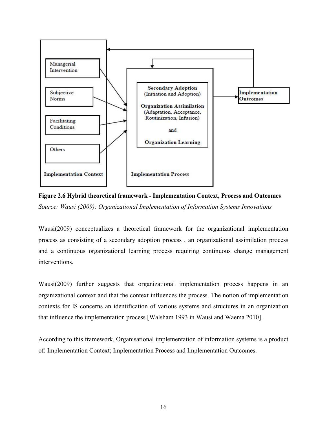<span id="page-27-0"></span>

**Figure 2.6 Hybrid theoretical framework - Implementation Context, Process and Outcomes**  *Source: Wausi (2009): Organizational Implementation of Information Systems Innovations* 

Wausi(2009) conceptualizes a theoretical framework for the organizational implementation process as consisting of a secondary adoption process , an organizational assimilation process and a continuous organizational learning process requiring continuous change management interventions.

Wausi(2009) further suggests that organizational implementation process happens in an organizational context and that the context influences the process. The notion of implementation contexts for IS concerns an identification of various systems and structures in an organization that influence the implementation process [Walsham 1993 in Wausi and Waema 2010].

According to this framework, Organisational implementation of information systems is a product of: Implementation Context; Implementation Process and Implementation Outcomes.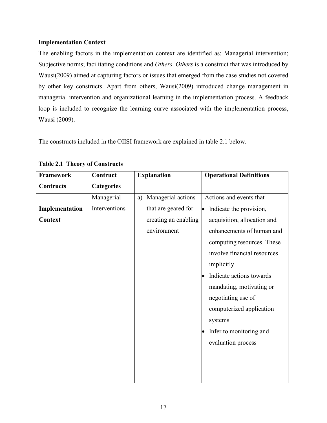## <span id="page-28-0"></span>**Implementation Context**

The enabling factors in the implementation context are identified as: Managerial intervention; Subjective norms; facilitating conditions and *Others*. *Others* is a construct that was introduced by Wausi(2009) aimed at capturing factors or issues that emerged from the case studies not covered by other key constructs. Apart from others, Wausi(2009) introduced change management in managerial intervention and organizational learning in the implementation process. A feedback loop is included to recognize the learning curve associated with the implementation process, Wausi (2009).

The constructs included in the OIISI framework are explained in table 2.1 below.

| Framework      | Contruct          | <b>Explanation</b>       | <b>Operational Definitions</b> |
|----------------|-------------------|--------------------------|--------------------------------|
| Contructs      | <b>Categories</b> |                          |                                |
|                | Managerial        | Managerial actions<br>a) | Actions and events that        |
| Implementation | Interventions     | that are geared for      | Indicate the provision,<br>le  |
| Context        |                   | creating an enabling     | acquisition, allocation and    |
|                |                   | environment              | enhancements of human and      |
|                |                   |                          | computing resources. These     |
|                |                   |                          | involve financial resources    |
|                |                   |                          | implicitly                     |
|                |                   |                          | Indicate actions towards       |
|                |                   |                          | mandating, motivating or       |
|                |                   |                          | negotiating use of             |
|                |                   |                          | computerized application       |
|                |                   |                          | systems                        |
|                |                   |                          | Infer to monitoring and        |
|                |                   |                          | evaluation process             |
|                |                   |                          |                                |
|                |                   |                          |                                |
|                |                   |                          |                                |

**Table 2.1 Theory of Constructs**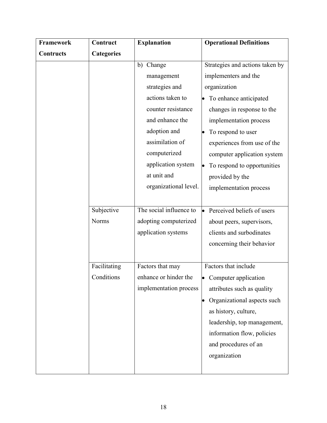| Framework | Contruct          | <b>Explanation</b>      | <b>Operational Definitions</b>   |
|-----------|-------------------|-------------------------|----------------------------------|
| Contructs | <b>Categories</b> |                         |                                  |
|           |                   | Change<br>b)            | Strategies and actions taken by  |
|           |                   | management              | implementers and the             |
|           |                   | strategies and          | organization                     |
|           |                   | actions taken to        | To enhance anticipated           |
|           |                   | counter resistance      | changes in response to the       |
|           |                   | and enhance the         | implementation process           |
|           |                   | adoption and            | To respond to user               |
|           |                   | assimilation of         | experiences from use of the      |
|           |                   | computerized            | computer application system      |
|           |                   | application system      | To respond to opportunities      |
|           |                   | at unit and             | provided by the                  |
|           |                   | organizational level.   | implementation process           |
|           |                   |                         |                                  |
|           | Subjective        | The social influence to | Perceived beliefs of users<br>lo |
|           | Norms             | adopting computerized   | about peers, supervisors,        |
|           |                   | application systems     | clients and surbodinates         |
|           |                   |                         | concerning their behavior        |
|           |                   |                         |                                  |
|           | Facilitating      | Factors that may        | Factors that include             |
|           | Conditions        | enhance or hinder the   | Computer application             |
|           |                   | implementation process  | attributes such as quality       |
|           |                   |                         | Organizational aspects such      |
|           |                   |                         | as history, culture,             |
|           |                   |                         | leadership, top management,      |
|           |                   |                         | information flow, policies       |
|           |                   |                         | and procedures of an             |
|           |                   |                         | organization                     |
|           |                   |                         |                                  |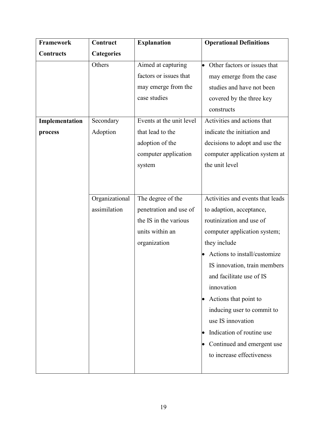| Framework      | Contruct          | <b>Explanation</b>       | <b>Operational Definitions</b>   |
|----------------|-------------------|--------------------------|----------------------------------|
| Contructs      | <b>Categories</b> |                          |                                  |
|                | Others            | Aimed at capturing       | Other factors or issues that     |
|                |                   | factors or issues that   | may emerge from the case         |
|                |                   | may emerge from the      | studies and have not been        |
|                |                   | case studies             | covered by the three key         |
|                |                   |                          | constructs                       |
| Implementation | Secondary         | Events at the unit level | Activities and actions that      |
| process        | Adoption          | that lead to the         | indicate the initiation and      |
|                |                   | adoption of the          | decisions to adopt and use the   |
|                |                   | computer application     | computer application system at   |
|                |                   | system                   | the unit level                   |
|                |                   |                          |                                  |
|                |                   |                          |                                  |
|                | Organizational    | The degree of the        | Activities and events that leads |
|                | assimilation      | penetration and use of   | to adaption, acceptance,         |
|                |                   | the IS in the various    | routinization and use of         |
|                |                   | units within an          | computer application system;     |
|                |                   | organization             | they include                     |
|                |                   |                          | Actions to install/customize     |
|                |                   |                          | IS innovation, train members     |
|                |                   |                          | and facilitate use of IS         |
|                |                   |                          | innovation                       |
|                |                   |                          | Actions that point to            |
|                |                   |                          | inducing user to commit to       |
|                |                   |                          | use IS innovation                |
|                |                   |                          | Indication of routine use        |
|                |                   |                          | Continued and emergent use       |
|                |                   |                          | to increase effectiveness        |
|                |                   |                          |                                  |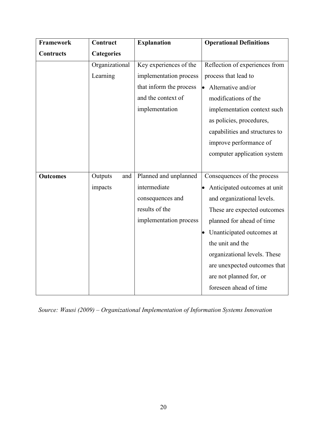| <b>Framework</b> | Contruct          | <b>Explanation</b>      | <b>Operational Definitions</b> |
|------------------|-------------------|-------------------------|--------------------------------|
| <b>Contructs</b> | <b>Categories</b> |                         |                                |
|                  | Organizational    | Key experiences of the  | Reflection of experiences from |
|                  | Learning          | implementation process  | process that lead to           |
|                  |                   | that inform the process | Alternative and/or             |
|                  |                   | and the context of      | modifications of the           |
|                  |                   | implementation          | implementation context such    |
|                  |                   |                         | as policies, procedures,       |
|                  |                   |                         | capabilities and structures to |
|                  |                   |                         | improve performance of         |
|                  |                   |                         | computer application system    |
|                  |                   |                         |                                |
| <b>Outcomes</b>  | Outputs<br>and    | Planned and unplanned   | Consequences of the process    |
|                  | impacts           | intermediate            | Anticipated outcomes at unit   |
|                  |                   | consequences and        | and organizational levels.     |
|                  |                   | results of the          | These are expected outcomes    |
|                  |                   | implementation process  | planned for ahead of time      |
|                  |                   |                         | Unanticipated outcomes at      |
|                  |                   |                         | the unit and the               |
|                  |                   |                         | organizational levels. These   |
|                  |                   |                         | are unexpected outcomes that   |
|                  |                   |                         | are not planned for, or        |
|                  |                   |                         | foreseen ahead of time         |

*Source: Wausi (2009) – Organizational Implementation of Information Systems Innovation*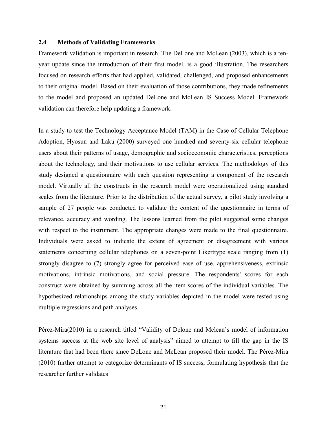#### <span id="page-32-0"></span>**2.4 Methods of Validating Frameworks**

Framework validation is important in research. The DeLone and McLean (2003), which is a tenyear update since the introduction of their first model, is a good illustration. The researchers focused on research efforts that had applied, validated, challenged, and proposed enhancements to their original model. Based on their evaluation of those contributions, they made refinements to the model and proposed an updated DeLone and McLean IS Success Model. Framework validation can therefore help updating a framework.

In a study to test the Technology Acceptance Model (TAM) in the Case of Cellular Telephone Adoption, Hyosun and Laku (2000) surveyed one hundred and seventy-six cellular telephone users about their patterns of usage, demographic and socioeconomic characteristics, perceptions about the technology, and their motivations to use cellular services. The methodology of this study designed a questionnaire with each question representing a component of the research model. Virtually all the constructs in the research model were operationalized using standard scales from the literature. Prior to the distribution of the actual survey, a pilot study involving a sample of 27 people was conducted to validate the content of the questionnaire in terms of relevance, accuracy and wording. The lessons learned from the pilot suggested some changes with respect to the instrument. The appropriate changes were made to the final questionnaire. Individuals were asked to indicate the extent of agreement or disagreement with various statements concerning cellular telephones on a seven-point Likerttype scale ranging from (1) strongly disagree to (7) strongly agree for perceived ease of use, apprehensiveness, extrinsic motivations, intrinsic motivations, and social pressure. The respondents' scores for each construct were obtained by summing across all the item scores of the individual variables. The hypothesized relationships among the study variables depicted in the model were tested using multiple regressions and path analyses.

Pérez-Mira(2010) in a research titled "Validity of Delone and Mclean's model of information systems success at the web site level of analysis" aimed to attempt to fill the gap in the IS literature that had been there since DeLone and McLean proposed their model. The Pérez-Mira (2010) further attempt to categorize determinants of IS success, formulating hypothesis that the researcher further validates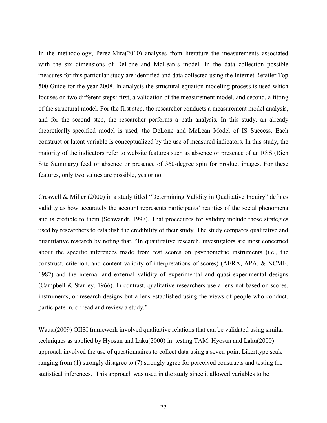In the methodology, Pérez-Mira(2010) analyses from literature the measurements associated with the six dimensions of DeLone and McLean's model. In the data collection possible measures for this particular study are identified and data collected using the Internet Retailer Top 500 Guide for the year 2008. In analysis the structural equation modeling process is used which focuses on two different steps: first, a validation of the measurement model, and second, a fitting of the structural model. For the first step, the researcher conducts a measurement model analysis, and for the second step, the researcher performs a path analysis. In this study, an already theoretically-specified model is used, the DeLone and McLean Model of IS Success. Each construct or latent variable is conceptualized by the use of measured indicators. In this study, the majority of the indicators refer to website features such as absence or presence of an RSS (Rich Site Summary) feed or absence or presence of 360-degree spin for product images. For these features, only two values are possible, yes or no.

Creswell & Miller (2000) in a study titled "Determining Validity in Qualitative Inquiry" defines validity as how accurately the account represents participants' realities of the social phenomena and is credible to them (Schwandt, 1997). That procedures for validity include those strategies used by researchers to establish the credibility of their study. The study compares qualitative and quantitative research by noting that, "In quantitative research, investigators are most concerned about the specific inferences made from test scores on psychometric instruments (i.e., the construct, criterion, and content validity of interpretations of scores) (AERA, APA, & NCME, 1982) and the internal and external validity of experimental and quasi-experimental designs (Campbell & Stanley, 1966). In contrast, qualitative researchers use a lens not based on scores, instruments, or research designs but a lens established using the views of people who conduct, participate in, or read and review a study."

Wausi(2009) OIISI framework involved qualitative relations that can be validated using similar techniques as applied by Hyosun and Laku(2000) in testing TAM. Hyosun and Laku(2000) approach involved the use of questionnaires to collect data using a seven-point Likerttype scale ranging from (1) strongly disagree to (7) strongly agree for perceived constructs and testing the statistical inferences. This approach was used in the study since it allowed variables to be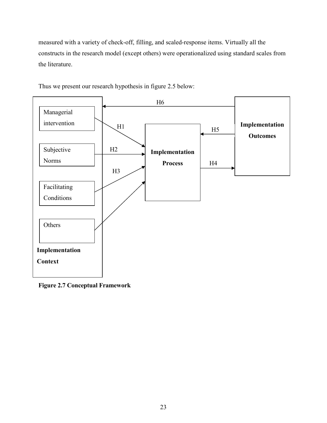<span id="page-34-0"></span>measured with a variety of check-off, filling, and scaled-response items. Virtually all the constructs in the research model (except others) were operationalized using standard scales from the literature.



Thus we present our research hypothesis in figure 2.5 below:

**Figure 2.7 Conceptual Framework**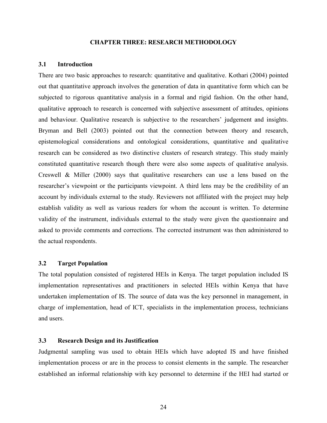#### **CHAPTER THREE: RESEARCH METHODOLOGY**

#### <span id="page-35-0"></span>**3.1 Introduction**

There are two basic approaches to research: quantitative and qualitative. Kothari (2004) pointed out that quantitative approach involves the generation of data in quantitative form which can be subjected to rigorous quantitative analysis in a formal and rigid fashion. On the other hand, qualitative approach to research is concerned with subjective assessment of attitudes, opinions and behaviour. Qualitative research is subjective to the researchers' judgement and insights. Bryman and Bell (2003) pointed out that the connection between theory and research, epistemological considerations and ontological considerations, quantitative and qualitative research can be considered as two distinctive clusters of research strategy. This study mainly constituted quantitative research though there were also some aspects of qualitative analysis. Creswell & Miller (2000) says that qualitative researchers can use a lens based on the researcher's viewpoint or the participants viewpoint. A third lens may be the credibility of an account by individuals external to the study. Reviewers not affiliated with the project may help establish validity as well as various readers for whom the account is written. To determine validity of the instrument, individuals external to the study were given the questionnaire and asked to provide comments and corrections. The corrected instrument was then administered to the actual respondents.

#### **3.2 Target Population**

The total population consisted of registered HEIs in Kenya. The target population included IS implementation representatives and practitioners in selected HEIs within Kenya that have undertaken implementation of IS. The source of data was the key personnel in management, in charge of implementation, head of ICT, specialists in the implementation process, technicians and users.

## **3.3 Research Design and its Justification**

Judgmental sampling was used to obtain HEIs which have adopted IS and have finished implementation process or are in the process to consist elements in the sample. The researcher established an informal relationship with key personnel to determine if the HEI had started or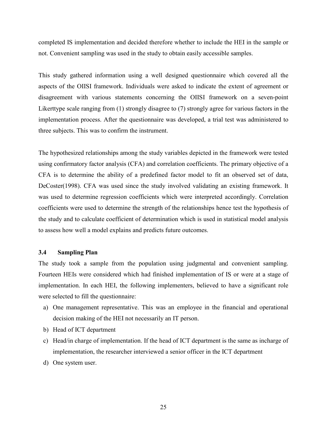completed IS implementation and decided therefore whether to include the HEI in the sample or not. Convenient sampling was used in the study to obtain easily accessible samples.

This study gathered information using a well designed questionnaire which covered all the aspects of the OIISI framework. Individuals were asked to indicate the extent of agreement or disagreement with various statements concerning the OIISI framework on a seven-point Likerttype scale ranging from (1) strongly disagree to (7) strongly agree for various factors in the implementation process. After the questionnaire was developed, a trial test was administered to three subjects. This was to confirm the instrument.

The hypothesized relationships among the study variables depicted in the framework were tested using confirmatory factor analysis (CFA) and correlation coefficients. The primary objective of a CFA is to determine the ability of a predefined factor model to fit an observed set of data, DeCoster(1998). CFA was used since the study involved validating an existing framework. It was used to determine regression coefficients which were interpreted accordingly. Correlation coefficients were used to determine the strength of the relationships hence test the hypothesis of the study and to calculate coefficient of determination which is used in statistical model analysis to assess how well a model explains and predicts future outcomes.

### **3.4 Sampling Plan**

The study took a sample from the population using judgmental and convenient sampling. Fourteen HEIs were considered which had finished implementation of IS or were at a stage of implementation. In each HEI, the following implementers, believed to have a significant role were selected to fill the questionnaire:

- a) One management representative. This was an employee in the financial and operational decision making of the HEI not necessarily an IT person.
- b) Head of ICT department
- c) Head/in charge of implementation. If the head of ICT department is the same as incharge of implementation, the researcher interviewed a senior officer in the ICT department
- d) One system user.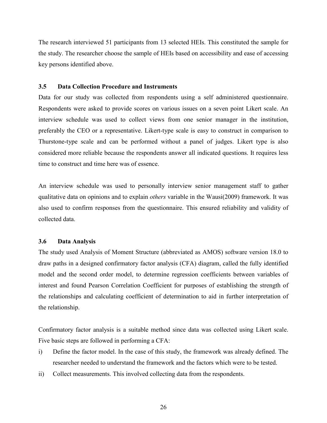The research interviewed 51 participants from 13 selected HEIs. This constituted the sample for the study. The researcher choose the sample of HEIs based on accessibility and ease of accessing key persons identified above.

### **3.5 Data Collection Procedure and Instruments**

Data for our study was collected from respondents using a self administered questionnaire. Respondents were asked to provide scores on various issues on a seven point Likert scale. An interview schedule was used to collect views from one senior manager in the institution, preferably the CEO or a representative. Likert-type scale is easy to construct in comparison to Thurstone-type scale and can be performed without a panel of judges. Likert type is also considered more reliable because the respondents answer all indicated questions. It requires less time to construct and time here was of essence.

An interview schedule was used to personally interview senior management staff to gather qualitative data on opinions and to explain *others* variable in the Wausi(2009) framework. It was also used to confirm responses from the questionnaire. This ensured reliability and validity of collected data.

### **3.6 Data Analysis**

The study used Analysis of Moment Structure (abbreviated as AMOS) software version 18.0 to draw paths in a designed confirmatory factor analysis (CFA) diagram, called the fully identified model and the second order model, to determine regression coefficients between variables of interest and found Pearson Correlation Coefficient for purposes of establishing the strength of the relationships and calculating coefficient of determination to aid in further interpretation of the relationship.

Confirmatory factor analysis is a suitable method since data was collected using Likert scale. Five basic steps are followed in performing a CFA:

- i) Define the factor model. In the case of this study, the framework was already defined. The researcher needed to understand the framework and the factors which were to be tested.
- ii) Collect measurements. This involved collecting data from the respondents.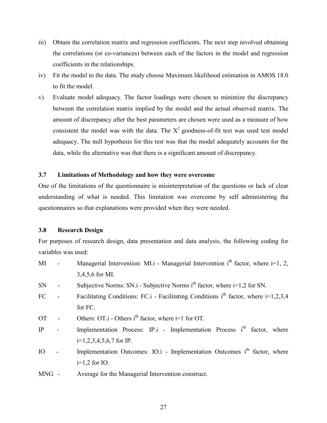- iii) Obtain the correlation matrix and regression coefficients. The next step involved obtaining the correlations (or co-variances) between each of the factors in the model and regression coefficients in the relationships.
- iv) Fit the model to the data. The study choose Maximum likelihood estimation in AMOS 18.0 to fit the model.
- v) Evaluate model adequacy. The factor loadings were chosen to minimize the discrepancy between the correlation matrix implied by the model and the actual observed matrix. The amount of discrepancy after the best parameters are chosen were used as a measure of how consistent the model was with the data. The  $X^2$  goodness-of-fit test was used test model adequacy. The null hypothesis for this test was that the model adequately accounts for the data, while the alternative was that there is a significant amount of discrepancy.

## **3.7 Limitations of Methodology and how they were overcome**

One of the limitations of the questionnaire is misinterpretation of the questions or lack of clear understanding of what is needed. This limitation was overcome by self administering the questionnaires so that explanations were provided when they were needed.

## **3.8 Research Design**

For purposes of research design, data presentation and data analysis, the following coding for variables was used:

- MI Managerial Intervention: MI.i Managerial Intervention i<sup>th</sup> factor, where i=1, 2, 3,4,5,6 for MI.
- SN Subjective Norms: SN.i Subjective Norms i<sup>th</sup> factor, where i=1,2 for SN.
- FC Facilitating Conditions: FC.i Facilitating Conditions i<sup>th</sup> factor, where  $i=1,2,3,4$ for FC.
- OT Others: OT.i Others i<sup>th</sup> factor, where i=1 for OT.
- IP Implementation Process: IP.i Implementation Process i<sup>th</sup> factor, where i=1,2,3,4,5,6,7 for IP.
- IO Implementation Outcomes: IO.i Implementation Outcomes i<sup>th</sup> factor, where  $i=1,2$  for IO.
- MNG Average for the Managerial Intervention construct.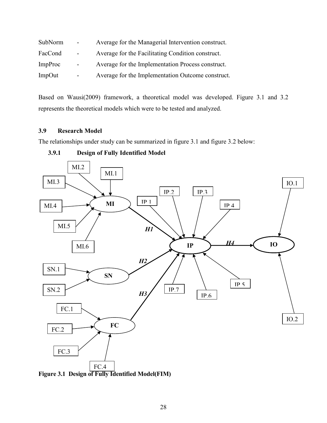| SubNorm        | $\sim$ 10 $\pm$ | Average for the Managerial Intervention construct. |
|----------------|-----------------|----------------------------------------------------|
| FacCond        | $\sim 100$      | Average for the Facilitating Condition construct.  |
| <b>ImpProc</b> | $\blacksquare$  | Average for the Implementation Process construct.  |
| ImpOut         | $\blacksquare$  | Average for the Implementation Outcome construct.  |

Based on Wausi(2009) framework, a theoretical model was developed. Figure 3.1 and 3.2 represents the theoretical models which were to be tested and analyzed.

# **3.9 Research Model**

The relationships under study can be summarized in figure 3.1 and figure 3.2 below:



# **3.9.1 Design of Fully Identified Model**

**Figure 3.1 Design of Fully Identified Model(FIM)**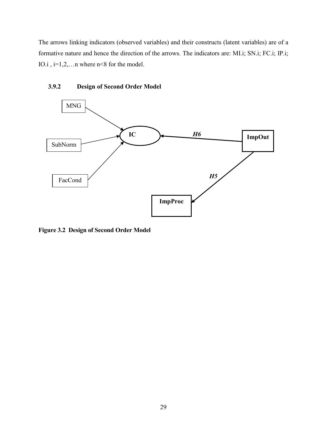The arrows linking indicators (observed variables) and their constructs (latent variables) are of a formative nature and hence the direction of the arrows. The indicators are: MI.i; SN.i; FC.i; IP.i; IO.i , i=1,2,…n where n<8 for the model.



# **3.9.2 Design of Second Order Model**

**Figure 3.2 Design of Second Order Model**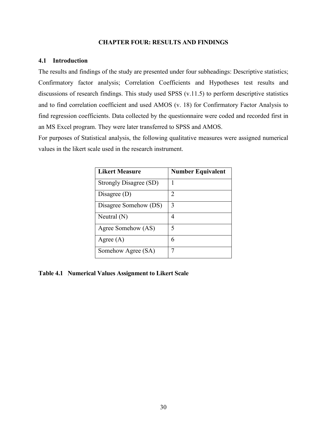### **CHAPTER FOUR: RESULTS AND FINDINGS**

### **4.1 Introduction**

The results and findings of the study are presented under four subheadings: Descriptive statistics; Confirmatory factor analysis; Correlation Coefficients and Hypotheses test results and discussions of research findings. This study used SPSS (v.11.5) to perform descriptive statistics and to find correlation coefficient and used AMOS (v. 18) for Confirmatory Factor Analysis to find regression coefficients. Data collected by the questionnaire were coded and recorded first in an MS Excel program. They were later transferred to SPSS and AMOS.

For purposes of Statistical analysis, the following qualitative measures were assigned numerical values in the likert scale used in the research instrument.

| <b>Likert Measure</b>  | <b>Number Equivalent</b>    |
|------------------------|-----------------------------|
| Strongly Disagree (SD) |                             |
| Disagree $(D)$         | $\mathcal{D}_{\mathcal{L}}$ |
| Disagree Somehow (DS)  | 3                           |
| Neutral $(N)$          | 4                           |
| Agree Somehow (AS)     | 5                           |
| Agree $(A)$            | 6                           |
| Somehow Agree (SA)     |                             |

**Table 4.1 Numerical Values Assignment to Likert Scale**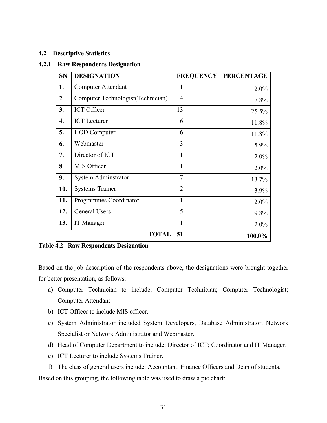## **4.2 Descriptive Statistics**

### **4.2.1 Raw Respondents Designation**

| <b>SN</b> | <b>DESIGNATION</b>                | <b>FREQUENCY</b> | <b>PERCENTAGE</b> |
|-----------|-----------------------------------|------------------|-------------------|
| 1.        | <b>Computer Attendant</b>         | 1                | $2.0\%$           |
| 2.        | Computer Technologist(Technician) | $\overline{4}$   | 7.8%              |
| 3.        | <b>ICT</b> Officer                | 13               | 25.5%             |
| 4.        | <b>ICT</b> Lecturer               | 6                | 11.8%             |
| 5.        | <b>HOD</b> Computer               | 6                | 11.8%             |
| 6.        | Webmaster                         | 3                | 5.9%              |
| 7.        | Director of ICT                   | 1                | 2.0%              |
| 8.        | MIS Officer                       | $\mathbf{1}$     | 2.0%              |
| 9.        | System Adminstrator               | $\overline{7}$   | 13.7%             |
| 10.       | <b>Systems Trainer</b>            | $\overline{2}$   | 3.9%              |
| 11.       | Programmes Coordinator            | 1                | 2.0%              |
| 12.       | <b>General Users</b>              | 5                | 9.8%              |
| 13.       | IT Manager                        | 1                | $2.0\%$           |
|           | <b>TOTAL</b>                      | 51               | 100.0%            |

**Table 4.2 Raw Respondents Designation**

Based on the job description of the respondents above, the designations were brought together for better presentation, as follows:

- a) Computer Technician to include: Computer Technician; Computer Technologist; Computer Attendant.
- b) ICT Officer to include MIS officer.
- c) System Administrator included System Developers, Database Administrator, Network Specialist or Network Administrator and Webmaster.
- d) Head of Computer Department to include: Director of ICT; Coordinator and IT Manager.
- e) ICT Lecturer to include Systems Trainer.

f) The class of general users include: Accountant; Finance Officers and Dean of students.

Based on this grouping, the following table was used to draw a pie chart: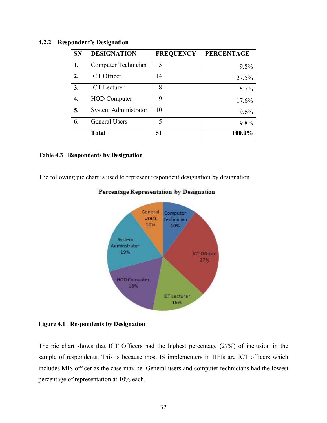| <b>SN</b> | <b>DESIGNATION</b>         | <b>FREQUENCY</b> | <b>PERCENTAGE</b> |
|-----------|----------------------------|------------------|-------------------|
| 1.        | <b>Computer Technician</b> | 5                | 9.8%              |
| 2.        | <b>ICT</b> Officer         | 14               | 27.5%             |
| 3.        | <b>ICT</b> Lecturer        | 8                | 15.7%             |
| 4.        | <b>HOD</b> Computer        | 9                | 17.6%             |
| 5.        | System Administrator       | 10               | 19.6%             |
| 6.        | General Users              | 5                | 9.8%              |
|           | <b>Total</b>               | 51               | 100.0%            |

## **4.2.2 Respondent's Designation**

### **Table 4.3 Respondents by Designation**

The following pie chart is used to represent respondent designation by designation



## Percentage Representation by Designation

**Figure 4.1 Respondents by Designation** 

The pie chart shows that ICT Officers had the highest percentage (27%) of inclusion in the sample of respondents. This is because most IS implementers in HEIs are ICT officers which includes MIS officer as the case may be. General users and computer technicians had the lowest percentage of representation at 10% each.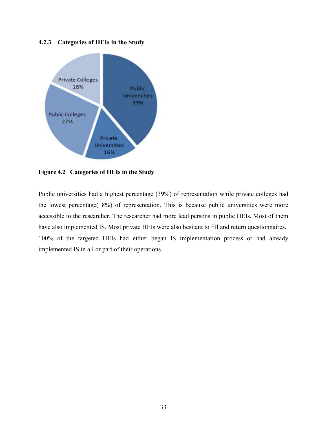## **4.2.3 Categories of HEIs in the Study**



**Figure 4.2 Categories of HEIs in the Study**

Public universities had a highest percentage (39%) of representation while private colleges had the lowest percentage(18%) of representation. This is because public universities were more accessible to the researcher. The researcher had more lead persons in public HEIs. Most of them have also implemented IS. Most private HEIs were also hesitant to fill and return questionnaires. 100% of the targeted HEIs had either began IS implementation process or had already implemented IS in all or part of their operations.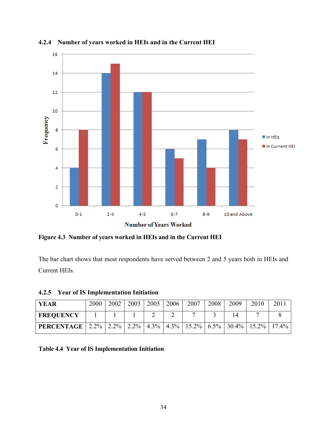

**4.2.4 Number of years worked in HEIs and in the Current HEI** 

**Figure 4.3 Number of years worked in HEIs and in the Current HEI** 

The bar chart shows that most respondents have served between 2 and 5 years both in HEIs and Current HEIs.

**4.2.5 Year of IS Implementation Initiation** 

| <b>YEAR</b>                                                                                 | 2000 | 2002 | 2003 | 2005 | 2006 | 2007 | 2008 | 2009 | 2010 | 2011 |
|---------------------------------------------------------------------------------------------|------|------|------|------|------|------|------|------|------|------|
| <b>FREQUENCY</b>                                                                            |      |      |      |      |      |      |      |      |      |      |
| <b>PERCENTAGE</b>   2.2%   2.2%   2.2%   4.3%   4.3%   15.2%   6.5%   30.4%   15.2%   17.4% |      |      |      |      |      |      |      |      |      |      |

**Table 4.4 Year of IS Implementation Initiation**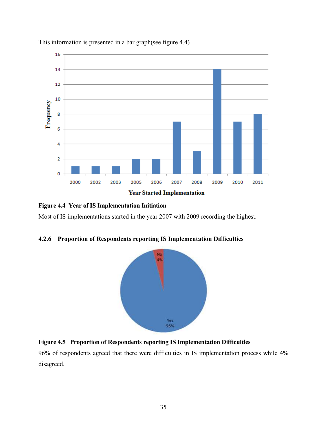

This information is presented in a bar graph(see figure 4.4)

# **Figure 4.4 Year of IS Implementation Initiation**

Most of IS implementations started in the year 2007 with 2009 recording the highest.

## **4.2.6 Proportion of Respondents reporting IS Implementation Difficulties**



## **Figure 4.5 Proportion of Respondents reporting IS Implementation Difficulties**

96% of respondents agreed that there were difficulties in IS implementation process while 4% disagreed.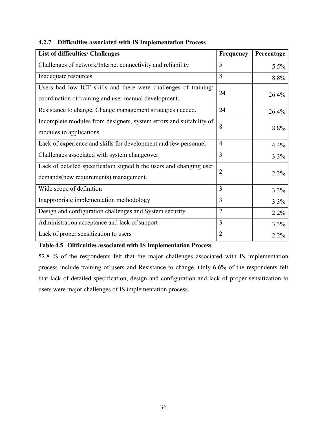| <b>List of difficulties/ Challenges</b>                                                                                  | Frequency      | Percentage |
|--------------------------------------------------------------------------------------------------------------------------|----------------|------------|
| Challenges of network/Internet connectivity and reliability                                                              | 5              | 5.5%       |
| Inadequate resources                                                                                                     | 8              | 8.8%       |
| Users had low ICT skills and there were challenges of training:<br>coordination of training and user manual development. | 24             | 26.4%      |
| Resistance to change. Change management strategies needed.                                                               | 24             | 26.4%      |
| Incomplete modules from designers, system errors and suitability of<br>modules to applications                           | 8              | 8.8%       |
| Lack of experience and skills for development and few personnel                                                          | $\overline{4}$ | 4.4%       |
| Challenges associated with system changeover                                                                             | 3              | 3.3%       |
| Lack of detailed specification signed b the users and changing user<br>demands(new requirements) management.             | $\overline{2}$ | 2.2%       |
| Wide scope of definition                                                                                                 | 3              | 3.3%       |
| Inappropriate implementation methodology                                                                                 | $\overline{3}$ | 3.3%       |
| Design and configuration challenges and System security                                                                  | $\overline{2}$ | 2.2%       |
| Administration acceptance and lack of support                                                                            | $\overline{3}$ | 3.3%       |
| Lack of proper sensitization to users                                                                                    | $\overline{2}$ | 2.2%       |

# **4.2.7 Difficulties associated with IS Implementation Process**

**Table 4.5 Difficulties associated with IS Implementation Process** 

52.8 % of the respondents felt that the major challenges associated with IS implementation process include training of users and Resistance to change. Only 6.6% of the respondents felt that lack of detailed specification, design and configuration and lack of proper sensitization to users were major challenges of IS implementation process.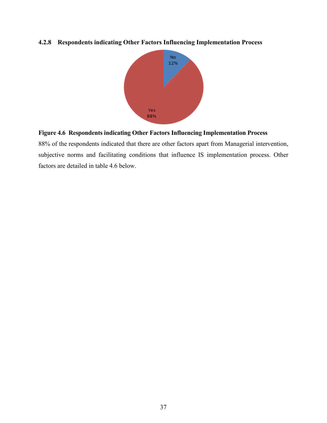# **4.2.8 Respondents indicating Other Factors Influencing Implementation Process**



# **Figure 4.6 Respondents indicating Other Factors Influencing Implementation Process**

88% of the respondents indicated that there are other factors apart from Managerial intervention, subjective norms and facilitating conditions that influence IS implementation process. Other factors are detailed in table 4.6 below.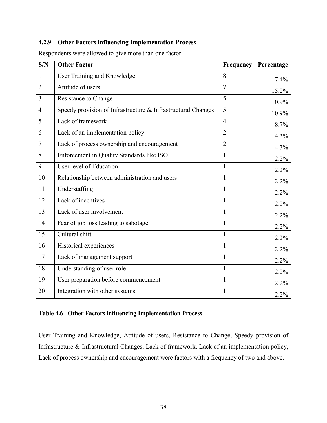## **4.2.9 Other Factors influencing Implementation Process**

| S/N            | <b>Other Factor</b>                                          | Frequency      | Percentage |
|----------------|--------------------------------------------------------------|----------------|------------|
| $\mathbf{1}$   | <b>User Training and Knowledge</b>                           | 8              | 17.4%      |
| $\overline{2}$ | Attitude of users                                            | $\overline{7}$ | 15.2%      |
| $\overline{3}$ | Resistance to Change                                         | 5              | 10.9%      |
| $\overline{4}$ | Speedy provision of Infrastructure & Infrastructural Changes | 5              | 10.9%      |
| 5              | Lack of framework                                            | $\overline{4}$ | 8.7%       |
| 6              | Lack of an implementation policy                             | $\overline{2}$ | 4.3%       |
| $\overline{7}$ | Lack of process ownership and encouragement                  | $\overline{2}$ | 4.3%       |
| 8              | Enforcement in Quality Standards like ISO                    | $\mathbf{1}$   | $2.2\%$    |
| 9              | User level of Education                                      | 1              | 2.2%       |
| 10             | Relationship between administration and users                | 1              | 2.2%       |
| 11             | Understaffing                                                | $\mathbf{1}$   | 2.2%       |
| 12             | Lack of incentives                                           | $\mathbf{1}$   | $2.2\%$    |
| 13             | Lack of user involvement                                     | $\mathbf{1}$   | 2.2%       |
| 14             | Fear of job loss leading to sabotage                         | 1              | 2.2%       |
| 15             | Cultural shift                                               | $\mathbf{1}$   | 2.2%       |
| 16             | Historical experiences                                       | $\mathbf{1}$   | 2.2%       |
| 17             | Lack of management support                                   | $\mathbf{1}$   | $2.2\%$    |
| 18             | Understanding of user role                                   | $\mathbf{1}$   | $2.2\%$    |
| 19             | User preparation before commencement                         | 1              | 2.2%       |
| 20             | Integration with other systems                               | 1              | 2.2%       |

Respondents were allowed to give more than one factor.

# **Table 4.6 Other Factors influencing Implementation Process**

User Training and Knowledge, Attitude of users, Resistance to Change, Speedy provision of Infrastructure & Infrastructural Changes, Lack of framework, Lack of an implementation policy, Lack of process ownership and encouragement were factors with a frequency of two and above.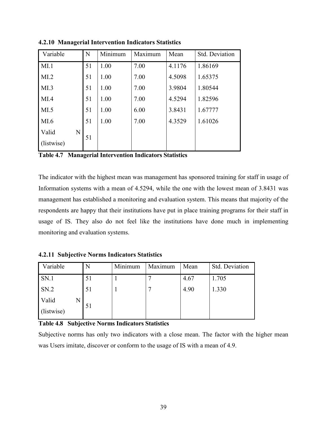| Variable   |   | N  | Minimum | Maximum | Mean   | Std. Deviation |
|------------|---|----|---------|---------|--------|----------------|
| MI.1       |   | 51 | 1.00    | 7.00    | 4.1176 | 1.86169        |
| MI.2       |   | 51 | 1.00    | 7.00    | 4.5098 | 1.65375        |
| MI.3       |   | 51 | 1.00    | 7.00    | 3.9804 | 1.80544        |
| MI.4       |   | 51 | 1.00    | 7.00    | 4.5294 | 1.82596        |
| MI.5       |   | 51 | 1.00    | 6.00    | 3.8431 | 1.67777        |
| MI.6       |   | 51 | 1.00    | 7.00    | 4.3529 | 1.61026        |
| Valid      | N |    |         |         |        |                |
| (listwise) |   | 51 |         |         |        |                |

**4.2.10 Managerial Intervention Indicators Statistics** 

**Table 4.7 Managerial Intervention Indicators Statistics**

The indicator with the highest mean was management has sponsored training for staff in usage of Information systems with a mean of 4.5294, while the one with the lowest mean of 3.8431 was management has established a monitoring and evaluation system. This means that majority of the respondents are happy that their institutions have put in place training programs for their staff in usage of IS. They also do not feel like the institutions have done much in implementing monitoring and evaluation systems.

**4.2.11 Subjective Norms Indicators Statistics** 

| Variable            | N  | Minimum | Maximum | Mean | Std. Deviation |
|---------------------|----|---------|---------|------|----------------|
| SN.1                | 51 |         | ┍       | 4.67 | 1.705          |
| SN.2                | 51 |         | ┍       | 4.90 | 1.330          |
| Valid<br>(listwise) | 51 |         |         |      |                |

## **Table 4.8 Subjective Norms Indicators Statistics**

Subjective norms has only two indicators with a close mean. The factor with the higher mean was Users imitate, discover or conform to the usage of IS with a mean of 4.9.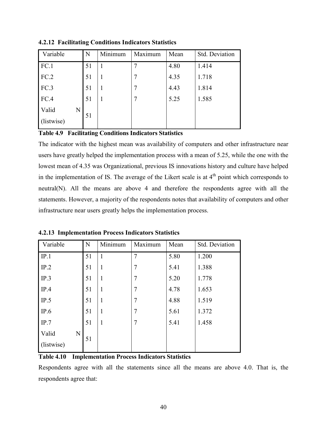| Variable   | N  | Minimum | Maximum | Mean | Std. Deviation |
|------------|----|---------|---------|------|----------------|
| FC.1       | 51 |         |         | 4.80 | 1.414          |
| FC.2       | 51 |         |         | 4.35 | 1.718          |
| FC.3       | 51 |         | 7       | 4.43 | 1.814          |
| FC.4       | 51 |         | 7       | 5.25 | 1.585          |
| Valid<br>N | 51 |         |         |      |                |
| (listwise) |    |         |         |      |                |

**4.2.12 Facilitating Conditions Indicators Statistics** 

**Table 4.9 Facilitating Conditions Indicators Statistics**

The indicator with the highest mean was availability of computers and other infrastructure near users have greatly helped the implementation process with a mean of 5.25, while the one with the lowest mean of 4.35 was Organizational, previous IS innovations history and culture have helped in the implementation of IS. The average of the Likert scale is at  $4<sup>th</sup>$  point which corresponds to neutral(N). All the means are above 4 and therefore the respondents agree with all the statements. However, a majority of the respondents notes that availability of computers and other infrastructure near users greatly helps the implementation process.

| Variable   | N  | Minimum      | Maximum        | Mean | Std. Deviation |
|------------|----|--------------|----------------|------|----------------|
| IP.1       | 51 |              | $\overline{7}$ | 5.80 | 1.200          |
| IP.2       | 51 | 1            | $\overline{7}$ | 5.41 | 1.388          |
| IP.3       | 51 | $\mathbf{1}$ | $\overline{7}$ | 5.20 | 1.778          |
| IP.4       | 51 | 1            | $\overline{7}$ | 4.78 | 1.653          |
| IP.5       | 51 | 1            | $\overline{7}$ | 4.88 | 1.519          |
| IP.6       | 51 | $\mathbf{1}$ | $\overline{7}$ | 5.61 | 1.372          |
| IP.7       | 51 | 1            | $\overline{7}$ | 5.41 | 1.458          |
| Valid<br>N |    |              |                |      |                |
| (listwise) | 51 |              |                |      |                |

**4.2.13 Implementation Process Indicators Statistics** 

**Table 4.10 Implementation Process Indicators Statistics**

Respondents agree with all the statements since all the means are above 4.0. That is, the respondents agree that: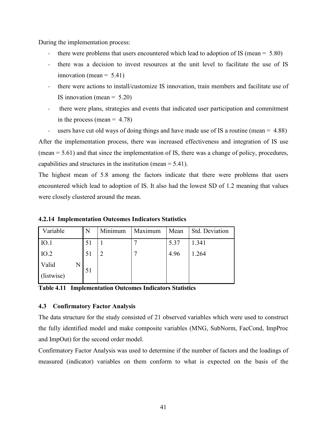During the implementation process:

- there were problems that users encountered which lead to adoption of IS (mean  $= 5.80$ )
- there was a decision to invest resources at the unit level to facilitate the use of IS innovation (mean  $= 5.41$ )
- there were actions to install/customize IS innovation, train members and facilitate use of IS innovation (mean  $= 5.20$ )
- there were plans, strategies and events that indicated user participation and commitment in the process (mean  $= 4.78$ )

- users have cut old ways of doing things and have made use of IS a routine (mean = 4.88) After the implementation process, there was increased effectiveness and integration of IS use (mean = 5.61) and that since the implementation of IS, there was a change of policy, procedures, capabilities and structures in the institution (mean = 5.41).

The highest mean of 5.8 among the factors indicate that there were problems that users encountered which lead to adoption of IS. It also had the lowest SD of 1.2 meaning that values were closely clustered around the mean.

| Variable            |   | N  | Minimum | Maximum | Mean | Std. Deviation |
|---------------------|---|----|---------|---------|------|----------------|
| IO.1                |   | 51 |         |         | 5.37 | 1.341          |
| IO.2                |   | 51 |         |         | 4.96 | 1.264          |
| Valid<br>(listwise) | N | 51 |         |         |      |                |

**4.2.14 Implementation Outcomes Indicators Statistics** 

**Table 4.11 Implementation Outcomes Indicators Statistics** 

## **4.3 Confirmatory Factor Analysis**

The data structure for the study consisted of 21 observed variables which were used to construct the fully identified model and make composite variables (MNG, SubNorm, FacCond, ImpProc and ImpOut) for the second order model.

Confirmatory Factor Analysis was used to determine if the number of factors and the loadings of measured (indicator) variables on them conform to what is expected on the basis of the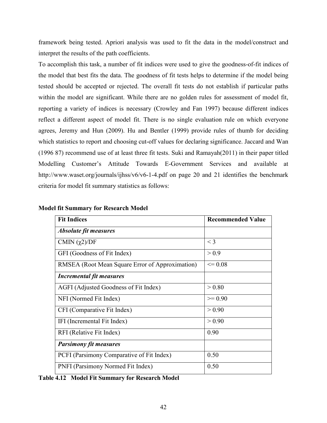framework being tested. Apriori analysis was used to fit the data in the model/construct and interpret the results of the path coefficients.

To accomplish this task, a number of fit indices were used to give the goodness-of-fit indices of the model that best fits the data. The goodness of fit tests helps to determine if the model being tested should be accepted or rejected. The overall fit tests do not establish if particular paths within the model are significant. While there are no golden rules for assessment of model fit, reporting a variety of indices is necessary (Crowley and Fan 1997) because different indices reflect a different aspect of model fit. There is no single evaluation rule on which everyone agrees, Jeremy and Hun (2009). Hu and Bentler (1999) provide rules of thumb for deciding which statistics to report and choosing cut-off values for declaring significance. Jaccard and Wan (1996 87) recommend use of at least three fit tests. Suki and Ramayah(2011) in their paper titled Modelling Customer's Attitude Towards E-Government Services and available at http://www.waset.org/journals/ijhss/v6/v6-1-4.pdf on page 20 and 21 identifies the benchmark criteria for model fit summary statistics as follows:

| <b>Fit Indices</b>                              | <b>Recommended Value</b> |
|-------------------------------------------------|--------------------------|
| <i><b>Absolute fit measures</b></i>             |                          |
| CMIN $(\chi2)/DF$                               | $<$ 3                    |
| GFI (Goodness of Fit Index)                     | > 0.9                    |
| RMSEA (Root Mean Square Error of Approximation) | $\leq 0.08$              |
| <b>Incremental fit measures</b>                 |                          |
| AGFI (Adjusted Goodness of Fit Index)           | > 0.80                   |
| NFI (Normed Fit Index)                          | $\geq 0.90$              |
| CFI (Comparative Fit Index)                     | > 0.90                   |
| IFI (Incremental Fit Index)                     | > 0.90                   |
| RFI (Relative Fit Index)                        | 0.90                     |
| <b>Parsimony fit measures</b>                   |                          |
| PCFI (Parsimony Comparative of Fit Index)       | 0.50                     |
| PNFI (Parsimony Normed Fit Index)               | 0.50                     |

## **Model fit Summary for Research Model**

**Table 4.12 Model Fit Summary for Research Model**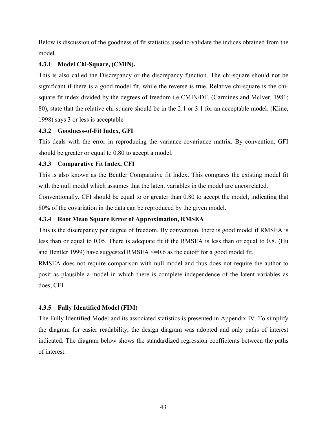Below is discussion of the goodness of fit statistics used to validate the indices obtained from the model.

# **4.3.1 Model Chi-Square, (CMIN).**

This is also called the Discrepancy or the discrepancy function. The chi-square should not be significant if there is a good model fit, while the reverse is true. Relative chi-square is the chisquare fit index divided by the degrees of freedom i.e CMIN/DF. (Carmines and McIver, 1981; 80), state that the relative chi-square should be in the 2:1 or 3:1 for an acceptable model. (Kline, 1998) says 3 or less is acceptable

# **4.3.2 Goodness-of-Fit Index, GFI**

This deals with the error in reproducing the variance-covariance matrix. By convention, GFI should be greater or equal to 0.80 to accept a model.

# **4.3.3 Comparative Fit Index, CFI**

This is also known as the Bentler Comparative fit Index. This compares the existing model fit with the null model which assumes that the latent variables in the model are uncorrelated.

Conventionally. CFI should be equal to or greater than 0.80 to accept the model, indicating that 80% of the covariation in the data can be reproduced by the given model.

# **4.3.4 Root Mean Square Error of Approximation, RMSEA**

This is the discrepancy per degree of freedom. By convention, there is good model if RMSEA is less than or equal to 0.05. There is adequate fit if the RMSEA is less than or equal to 0.8. (Hu and Bentler 1999) have suggested RMSEA  $\leq$  0.6 as the cutoff for a good model fit.

RMSEA does not require comparison with null model and thus does not require the author to posit as plausible a model in which there is complete independence of the latent variables as does, CFI.

# **4.3.5 Fully Identified Model (FIM)**

The Fully Identified Model and its associated statistics is presented in Appendix IV. To simplify the diagram for easier readability, the design diagram was adopted and only paths of interest indicated. The diagram below shows the standardized regression coefficients between the paths of interest.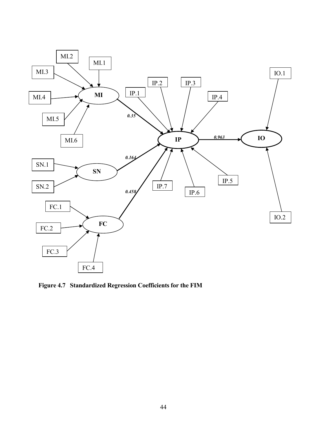

**Figure 4.7 Standardized Regression Coefficients for the FIM**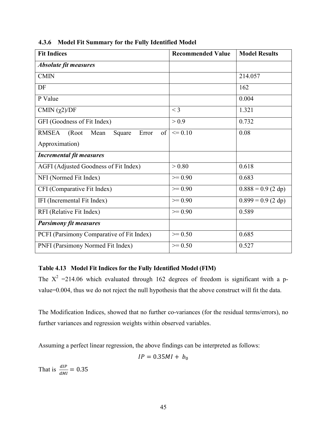| <b>Fit Indices</b>                                             | <b>Recommended Value</b> | <b>Model Results</b> |
|----------------------------------------------------------------|--------------------------|----------------------|
| <b>Absolute fit measures</b>                                   |                          |                      |
| <b>CMIN</b>                                                    |                          | 214.057              |
| DF                                                             |                          | 162                  |
| P Value                                                        |                          | 0.004                |
| CMIN $(\chi2)/DF$                                              | $<$ 3                    | 1.321                |
| GFI (Goodness of Fit Index)                                    | > 0.9                    | 0.732                |
| <b>RMSEA</b><br>(Root<br>Mean<br>Error<br>$\sigma$ f<br>Square | $\leq 0.10$              | 0.08                 |
| Approximation)                                                 |                          |                      |
| <b>Incremental fit measures</b>                                |                          |                      |
| AGFI (Adjusted Goodness of Fit Index)                          | > 0.80                   | 0.618                |
| NFI (Normed Fit Index)                                         | $\geq 0.90$              | 0.683                |
| CFI (Comparative Fit Index)                                    | $>= 0.90$                | $0.888 = 0.9$ (2 dp) |
| IFI (Incremental Fit Index)                                    | $\geq 0.90$              | $0.899 = 0.9$ (2 dp) |
| RFI (Relative Fit Index)                                       | $\geq 0.90$              | 0.589                |
| <b>Parsimony fit measures</b>                                  |                          |                      |
| PCFI (Parsimony Comparative of Fit Index)                      | $>= 0.50$                | 0.685                |
| PNFI (Parsimony Normed Fit Index)                              | $\geq 0.50$              | 0.527                |

**4.3.6 Model Fit Summary for the Fully Identified Model** 

# **Table 4.13 Model Fit Indices for the Fully Identified Model (FIM)**

The  $X^2 = 214.06$  which evaluated through 162 degrees of freedom is significant with a pvalue=0.004, thus we do not reject the null hypothesis that the above construct will fit the data.

The Modification Indices, showed that no further co-variances (for the residual terms/errors), no further variances and regression weights within observed variables.

Assuming a perfect linear regression, the above findings can be interpreted as follows:

$$
IP = 0.35MI + b_0
$$

That is  $\frac{dIP}{dMI} = 0.35$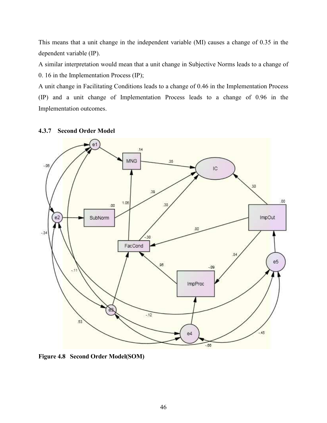This means that a unit change in the independent variable (MI) causes a change of 0.35 in the dependent variable (IP).

A similar interpretation would mean that a unit change in Subjective Norms leads to a change of 0. 16 in the Implementation Process (IP);

A unit change in Facilitating Conditions leads to a change of 0.46 in the Implementation Process (IP) and a unit change of Implementation Process leads to a change of 0.96 in the Implementation outcomes.

## **4.3.7 Second Order Model**



**Figure 4.8 Second Order Model(SOM)**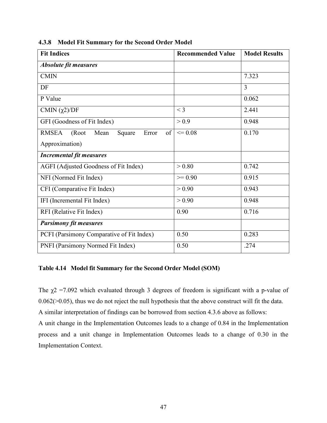| <b>Fit Indices</b>                                     | <b>Recommended Value</b> | <b>Model Results</b> |
|--------------------------------------------------------|--------------------------|----------------------|
| <b>Absolute fit measures</b>                           |                          |                      |
| <b>CMIN</b>                                            |                          | 7.323                |
| DF                                                     |                          | 3                    |
| P Value                                                |                          | 0.062                |
| CMIN $(\chi2)/DF$                                      | $<$ 3                    | 2.441                |
| GFI (Goodness of Fit Index)                            | > 0.9                    | 0.948                |
| <b>RMSEA</b><br>of<br>(Root<br>Mean<br>Error<br>Square | $\leq 0.08$              | 0.170                |
| Approximation)                                         |                          |                      |
| <b>Incremental fit measures</b>                        |                          |                      |
| AGFI (Adjusted Goodness of Fit Index)                  | > 0.80                   | 0.742                |
| NFI (Normed Fit Index)                                 | $>= 0.90$                | 0.915                |
| CFI (Comparative Fit Index)                            | > 0.90                   | 0.943                |
| IFI (Incremental Fit Index)                            | > 0.90                   | 0.948                |
| RFI (Relative Fit Index)                               | 0.90                     | 0.716                |
| <b>Parsimony fit measures</b>                          |                          |                      |
| PCFI (Parsimony Comparative of Fit Index)              | 0.50                     | 0.283                |
| PNFI (Parsimony Normed Fit Index)                      | 0.50                     | .274                 |

**4.3.8 Model Fit Summary for the Second Order Model** 

## **Table 4.14 Model fit Summary for the Second Order Model (SOM)**

The  $\chi$ 2 =7.092 which evaluated through 3 degrees of freedom is significant with a p-value of 0.062(>0.05), thus we do not reject the null hypothesis that the above construct will fit the data. A similar interpretation of findings can be borrowed from section 4.3.6 above as follows: A unit change in the Implementation Outcomes leads to a change of 0.84 in the Implementation process and a unit change in Implementation Outcomes leads to a change of 0.30 in the Implementation Context.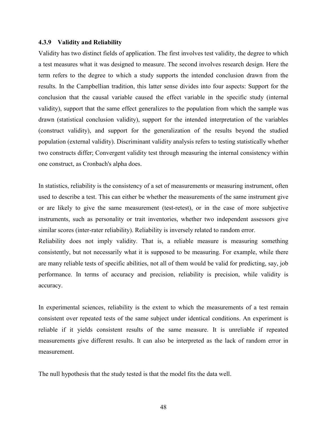#### **4.3.9 Validity and Reliability**

Validity has two distinct fields of application. The first involves test validity, the degree to which a test measures what it was designed to measure. The second involves research design. Here the term refers to the degree to which a study supports the intended conclusion drawn from the results. In the Campbellian tradition, this latter sense divides into four aspects: Support for the conclusion that the causal variable caused the effect variable in the specific study (internal validity), support that the same effect generalizes to the population from which the sample was drawn (statistical conclusion validity), support for the intended interpretation of the variables (construct validity), and support for the generalization of the results beyond the studied population (external validity). Discriminant validity analysis refers to testing statistically whether two constructs differ; Convergent validity test through measuring the internal consistency within one construct, as Cronbach's alpha does.

In statistics, reliability is the consistency of a set of measurements or measuring instrument, often used to describe a test. This can either be whether the measurements of the same instrument give or are likely to give the same measurement (test-retest), or in the case of more subjective instruments, such as personality or trait inventories, whether two independent assessors give similar scores (inter-rater reliability). Reliability is inversely related to random error.

Reliability does not imply validity. That is, a reliable measure is measuring something consistently, but not necessarily what it is supposed to be measuring. For example, while there are many reliable tests of specific abilities, not all of them would be valid for predicting, say, job performance. In terms of accuracy and precision, reliability is precision, while validity is accuracy.

In experimental sciences, reliability is the extent to which the measurements of a test remain consistent over repeated tests of the same subject under identical conditions. An experiment is reliable if it yields consistent results of the same measure. It is unreliable if repeated measurements give different results. It can also be interpreted as the lack of random error in measurement.

The null hypothesis that the study tested is that the model fits the data well.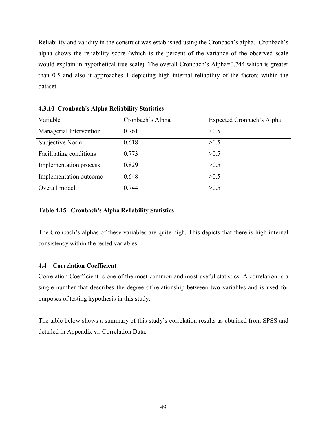Reliability and validity in the construct was established using the Cronbach's alpha. Cronbach's alpha shows the reliability score (which is the percent of the variance of the observed scale would explain in hypothetical true scale). The overall Cronbach's Alpha=0.744 which is greater than 0.5 and also it approaches 1 depicting high internal reliability of the factors within the dataset.

| Variable                | Cronbach's Alpha | Expected Cronbach's Alpha |
|-------------------------|------------------|---------------------------|
| Managerial Intervention | 0.761            | >0.5                      |
| Subjective Norm         | 0.618            | >0.5                      |
| Facilitating conditions | 0.773            | >0.5                      |
| Implementation process  | 0.829            | >0.5                      |
| Implementation outcome  | 0.648            | >0.5                      |
| Overall model           | 0.744            | >0.5                      |

**4.3.10 Cronbach's Alpha Reliability Statistics** 

# **Table 4.15 Cronbach's Alpha Reliability Statistics**

The Cronbach's alphas of these variables are quite high. This depicts that there is high internal consistency within the tested variables.

## **4.4 Correlation Coefficient**

Correlation Coefficient is one of the most common and most useful statistics. A correlation is a single number that describes the degree of relationship between two variables and is used for purposes of testing hypothesis in this study.

The table below shows a summary of this study's correlation results as obtained from SPSS and detailed in Appendix vi: Correlation Data.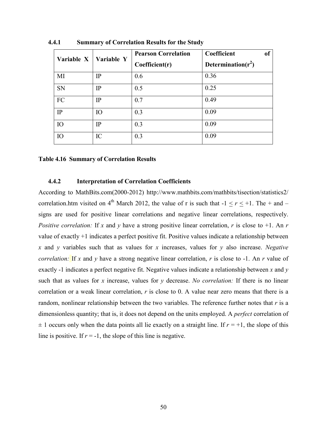| Variable X | Variable Y | <b>Pearson Correlation</b> | Coefficient           | of |
|------------|------------|----------------------------|-----------------------|----|
|            |            | Coefficient(r)             | Determination $(r^2)$ |    |
| MI         | IP         | 0.6                        | 0.36                  |    |
| <b>SN</b>  | IP         | 0.5                        | 0.25                  |    |
| FC         | IP         | 0.7                        | 0.49                  |    |
| IP         | IO         | 0.3                        | 0.09                  |    |
| IO         | IP         | 0.3                        | 0.09                  |    |
| IO         | IC         | 0.3                        | 0.09                  |    |

**4.4.1 Summary of Correlation Results for the Study** 

#### **Table 4.16 Summary of Correlation Results**

#### **4.4.2 Interpretation of Correlation Coefficients**

According to MathBits.com(2000-2012) http://www.mathbits.com/mathbits/tisection/statistics2/ correlation.htm visited on 4<sup>th</sup> March 2012, the value of r is such that  $-1 \le r \le +1$ . The + and – signs are used for positive linear correlations and negative linear correlations, respectively. *Positive correlation:* If x and y have a strong positive linear correlation, r is close to +1. An r value of exactly +1 indicates a perfect positive fit. Positive values indicate a relationship between *x* and *y* variables such that as values for *x* increases, values for *y* also increase. *Negative correlation:* If *x* and *y* have a strong negative linear correlation, *r* is close to -1. An *r* value of exactly -1 indicates a perfect negative fit. Negative values indicate a relationship between *x* and *y*  such that as values for *x* increase, values for *y* decrease. *No correlation:* If there is no linear correlation or a weak linear correlation, *r* is close to 0. A value near zero means that there is a random, nonlinear relationship between the two variables. The reference further notes that *r* is a dimensionless quantity; that is, it does not depend on the units employed. A *perfect* correlation of  $\pm$  1 occurs only when the data points all lie exactly on a straight line. If  $r = +1$ , the slope of this line is positive. If  $r = -1$ , the slope of this line is negative.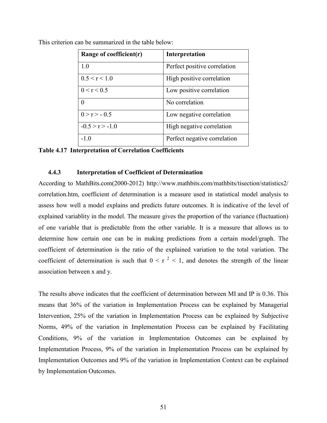| Range of coefficient $(r)$ | Interpretation               |
|----------------------------|------------------------------|
| 1.0                        | Perfect positive correlation |
| 0.5 < r < 1.0              | High positive correlation    |
| 0 < r < 0.5                | Low positive correlation     |
| $\Omega$                   | No correlation               |
| $0 > r > -0.5$             | Low negative correlation     |
| $-0.5 > r > -1.0$          | High negative correlation    |
| $-1.0$                     | Perfect negative correlation |

This criterion can be summarized in the table below:

**Table 4.17 Interpretation of Correlation Coefficients** 

#### **4.4.3 Interpretation of Coefficient of Determination**

According to MathBits.com(2000-2012) http://www.mathbits.com/mathbits/tisection/statistics2/ correlation.htm, coefficient of determination is a measure used in statistical model analysis to assess how well a model explains and predicts future outcomes. It is indicative of the level of explained variablity in the model. The measure gives the proportion of the variance (fluctuation) of one variable that is predictable from the other variable. It is a measure that allows us to determine how certain one can be in making predictions from a certain model/graph. The coefficient of determination is the ratio of the explained variation to the total variation. The coefficient of determination is such that  $0 \le r^2 \le 1$ , and denotes the strength of the linear association between x and y.

The results above indicates that the coefficient of determination between MI and IP is 0.36. This means that 36% of the variation in Implementation Process can be explained by Managerial Intervention, 25% of the variation in Implementation Process can be explained by Subjective Norms, 49% of the variation in Implementation Process can be explained by Facilitating Conditions, 9% of the variation in Implementation Outcomes can be explained by Implementation Process, 9% of the variation in Implementation Process can be explained by Implementation Outcomes and 9% of the variation in Implementation Context can be explained by Implementation Outcomes.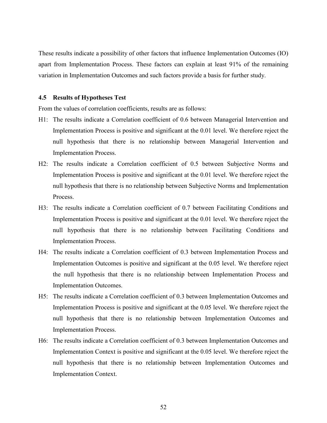These results indicate a possibility of other factors that influence Implementation Outcomes (IO) apart from Implementation Process. These factors can explain at least 91% of the remaining variation in Implementation Outcomes and such factors provide a basis for further study.

#### **4.5 Results of Hypotheses Test**

From the values of correlation coefficients, results are as follows:

- H1: The results indicate a Correlation coefficient of 0.6 between Managerial Intervention and Implementation Process is positive and significant at the 0.01 level. We therefore reject the null hypothesis that there is no relationship between Managerial Intervention and Implementation Process.
- H2: The results indicate a Correlation coefficient of 0.5 between Subjective Norms and Implementation Process is positive and significant at the 0.01 level. We therefore reject the null hypothesis that there is no relationship between Subjective Norms and Implementation Process.
- H3: The results indicate a Correlation coefficient of 0.7 between Facilitating Conditions and Implementation Process is positive and significant at the 0.01 level. We therefore reject the null hypothesis that there is no relationship between Facilitating Conditions and Implementation Process.
- H4: The results indicate a Correlation coefficient of 0.3 between Implementation Process and Implementation Outcomes is positive and significant at the 0.05 level. We therefore reject the null hypothesis that there is no relationship between Implementation Process and Implementation Outcomes.
- H5: The results indicate a Correlation coefficient of 0.3 between Implementation Outcomes and Implementation Process is positive and significant at the 0.05 level. We therefore reject the null hypothesis that there is no relationship between Implementation Outcomes and Implementation Process.
- H6: The results indicate a Correlation coefficient of 0.3 between Implementation Outcomes and Implementation Context is positive and significant at the 0.05 level. We therefore reject the null hypothesis that there is no relationship between Implementation Outcomes and Implementation Context.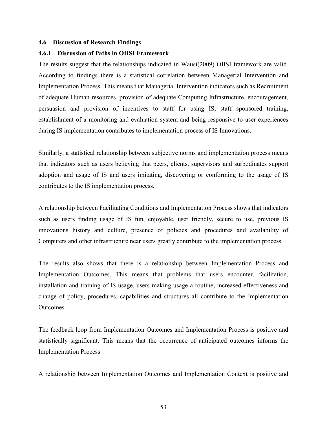#### **4.6 Discussion of Research Findings**

#### **4.6.1 Discussion of Paths in OIISI Framework**

The results suggest that the relationships indicated in Wausi(2009) OIISI framework are valid. According to findings there is a statistical correlation between Managerial Intervention and Implementation Process. This means that Managerial Intervention indicators such as Recruitment of adequate Human resources, provision of adequate Computing Infrastructure, encouragement, persuasion and provision of incentives to staff for using IS, staff sponsored training, establishment of a monitoring and evaluation system and being responsive to user experiences during IS implementation contributes to implementation process of IS Innovations.

Similarly, a statistical relationship between subjective norms and implementation process means that indicators such as users believing that peers, clients, supervisors and surbodinates support adoption and usage of IS and users imitating, discovering or conforming to the usage of IS contributes to the IS implementation process.

A relationship between Facilitating Conditions and Implementation Process shows that indicators such as users finding usage of IS fun, enjoyable, user friendly, secure to use, previous IS innovations history and culture, presence of policies and procedures and availability of Computers and other infrastructure near users greatly contribute to the implementation process.

The results also shows that there is a relationship between Implementation Process and Implementation Outcomes. This means that problems that users encounter, facilitation, installation and training of IS usage, users making usage a routine, increased effectiveness and change of policy, procedures, capabilities and structures all contribute to the Implementation **Outcomes** 

The feedback loop from Implementation Outcomes and Implementation Process is positive and statistically significant. This means that the occurrence of anticipated outcomes informs the Implementation Process.

A relationship between Implementation Outcomes and Implementation Context is positive and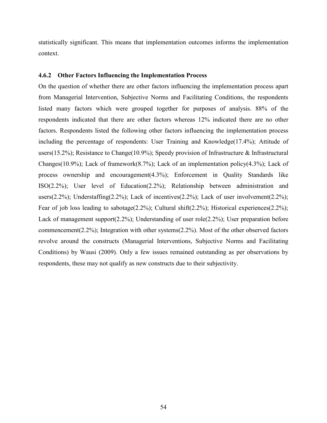statistically significant. This means that implementation outcomes informs the implementation context.

#### **4.6.2 Other Factors Influencing the Implementation Process**

On the question of whether there are other factors influencing the implementation process apart from Managerial Intervention, Subjective Norms and Facilitating Conditions, the respondents listed many factors which were grouped together for purposes of analysis. 88% of the respondents indicated that there are other factors whereas 12% indicated there are no other factors. Respondents listed the following other factors influencing the implementation process including the percentage of respondents: User Training and Knowledge(17.4%); Attitude of users(15.2%); Resistance to Change(10.9%); Speedy provision of Infrastructure & Infrastructural Changes(10.9%); Lack of framework(8.7%); Lack of an implementation policy(4.3%); Lack of process ownership and encouragement(4.3%); Enforcement in Quality Standards like ISO(2.2%); User level of Education(2.2%); Relationship between administration and users(2.2%); Understaffing(2.2%); Lack of incentives(2.2%); Lack of user involvement(2.2%); Fear of job loss leading to sabotage(2.2%); Cultural shift(2.2%); Historical experiences(2.2%); Lack of management support(2.2%); Understanding of user role(2.2%); User preparation before commencement(2.2%); Integration with other systems(2.2%). Most of the other observed factors revolve around the constructs (Managerial Interventions, Subjective Norms and Facilitating Conditions) by Wausi (2009). Only a few issues remained outstanding as per observations by respondents, these may not qualify as new constructs due to their subjectivity.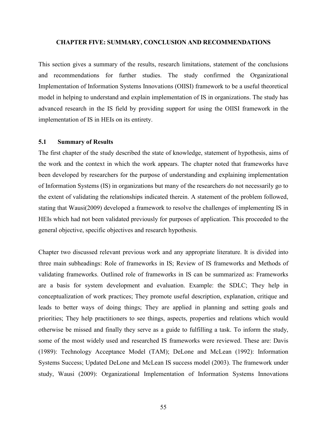#### **CHAPTER FIVE: SUMMARY, CONCLUSION AND RECOMMENDATIONS**

This section gives a summary of the results, research limitations, statement of the conclusions and recommendations for further studies. The study confirmed the Organizational Implementation of Information Systems Innovations (OIISI) framework to be a useful theoretical model in helping to understand and explain implementation of IS in organizations. The study has advanced research in the IS field by providing support for using the OIISI framework in the implementation of IS in HEIs on its entirety.

### **5.1 Summary of Results**

The first chapter of the study described the state of knowledge, statement of hypothesis, aims of the work and the context in which the work appears. The chapter noted that frameworks have been developed by researchers for the purpose of understanding and explaining implementation of Information Systems (IS) in organizations but many of the researchers do not necessarily go to the extent of validating the relationships indicated therein. A statement of the problem followed, stating that Wausi(2009) developed a framework to resolve the challenges of implementing IS in HEIs which had not been validated previously for purposes of application. This proceeded to the general objective, specific objectives and research hypothesis.

Chapter two discussed relevant previous work and any appropriate literature. It is divided into three main subheadings: Role of frameworks in IS; Review of IS frameworks and Methods of validating frameworks. Outlined role of frameworks in IS can be summarized as: Frameworks are a basis for system development and evaluation. Example: the SDLC; They help in conceptualization of work practices; They promote useful description, explanation, critique and leads to better ways of doing things; They are applied in planning and setting goals and priorities; They help practitioners to see things, aspects, properties and relations which would otherwise be missed and finally they serve as a guide to fulfilling a task. To inform the study, some of the most widely used and researched IS frameworks were reviewed. These are: Davis (1989): Technology Acceptance Model (TAM); DeLone and McLean (1992): Information Systems Success; Updated DeLone and McLean IS success model (2003). The framework under study, Wausi (2009): Organizational Implementation of Information Systems Innovations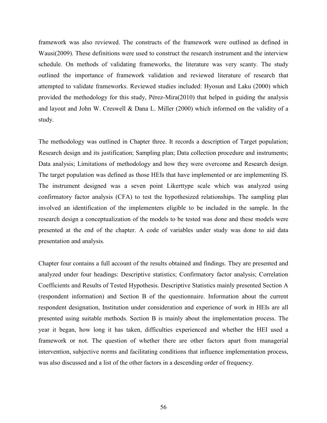framework was also reviewed. The constructs of the framework were outlined as defined in Wausi(2009). These definitions were used to construct the research instrument and the interview schedule. On methods of validating frameworks, the literature was very scanty. The study outlined the importance of framework validation and reviewed literature of research that attempted to validate frameworks. Reviewed studies included: Hyosun and Laku (2000) which provided the methodology for this study, Pérez-Mira(2010) that helped in guiding the analysis and layout and John W. Creswell & Dana L. Miller (2000) which informed on the validity of a study.

The methodology was outlined in Chapter three. It records a description of Target population; Research design and its justification; Sampling plan; Data collection procedure and instruments; Data analysis; Limitations of methodology and how they were overcome and Research design. The target population was defined as those HEIs that have implemented or are implementing IS. The instrument designed was a seven point Likerttype scale which was analyzed using confirmatory factor analysis (CFA) to test the hypothesized relationships. The sampling plan involved an identification of the implementers eligible to be included in the sample. In the research design a conceptualization of the models to be tested was done and these models were presented at the end of the chapter. A code of variables under study was done to aid data presentation and analysis.

Chapter four contains a full account of the results obtained and findings. They are presented and analyzed under four headings: Descriptive statistics; Confirmatory factor analysis; Correlation Coefficients and Results of Tested Hypothesis. Descriptive Statistics mainly presented Section A (respondent information) and Section B of the questionnaire. Information about the current respondent designation, Institution under consideration and experience of work in HEIs are all presented using suitable methods. Section B is mainly about the implementation process. The year it began, how long it has taken, difficulties experienced and whether the HEI used a framework or not. The question of whether there are other factors apart from managerial intervention, subjective norms and facilitating conditions that influence implementation process, was also discussed and a list of the other factors in a descending order of frequency.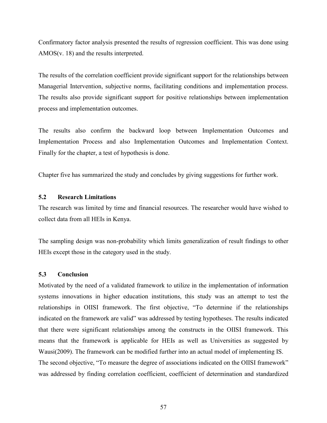Confirmatory factor analysis presented the results of regression coefficient. This was done using AMOS(v. 18) and the results interpreted.

The results of the correlation coefficient provide significant support for the relationships between Managerial Intervention, subjective norms, facilitating conditions and implementation process. The results also provide significant support for positive relationships between implementation process and implementation outcomes.

The results also confirm the backward loop between Implementation Outcomes and Implementation Process and also Implementation Outcomes and Implementation Context. Finally for the chapter, a test of hypothesis is done.

Chapter five has summarized the study and concludes by giving suggestions for further work.

## **5.2 Research Limitations**

The research was limited by time and financial resources. The researcher would have wished to collect data from all HEIs in Kenya.

The sampling design was non-probability which limits generalization of result findings to other HEIs except those in the category used in the study.

## **5.3 Conclusion**

Motivated by the need of a validated framework to utilize in the implementation of information systems innovations in higher education institutions, this study was an attempt to test the relationships in OIISI framework. The first objective, "To determine if the relationships indicated on the framework are valid" was addressed by testing hypotheses. The results indicated that there were significant relationships among the constructs in the OIISI framework. This means that the framework is applicable for HEIs as well as Universities as suggested by Wausi(2009). The framework can be modified further into an actual model of implementing IS. The second objective, "To measure the degree of associations indicated on the OIISI framework" was addressed by finding correlation coefficient, coefficient of determination and standardized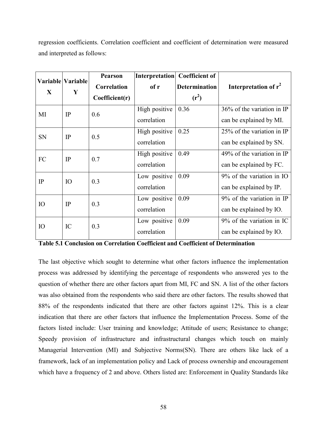regression coefficients. Correlation coefficient and coefficient of determination were measured and interpreted as follows:

| X              | Variable Variable<br>Y | <b>Pearson</b><br>Correlation<br>Coefficient(r) | of r                         | Interpretation   Coefficient of<br><b>Determination</b><br>$(r^2)$ | Interpretation of $r^2$                               |
|----------------|------------------------|-------------------------------------------------|------------------------------|--------------------------------------------------------------------|-------------------------------------------------------|
| MI             | IP                     | 0.6                                             | High positive<br>correlation | 0.36                                                               | 36% of the variation in IP<br>can be explained by MI. |
| <b>SN</b>      | IP                     | 0.5                                             | High positive<br>correlation | 0.25                                                               | 25% of the variation in IP<br>can be explained by SN. |
| FC             | IP                     | 0.7                                             | High positive<br>correlation | 0.49                                                               | 49% of the variation in IP<br>can be explained by FC. |
| $_{\text{IP}}$ | IO                     | 0.3                                             | Low positive<br>correlation  | 0.09                                                               | 9% of the variation in IO<br>can be explained by IP.  |
| <b>IO</b>      | IP                     | 0.3                                             | Low positive<br>correlation  | 0.09                                                               | 9% of the variation in IP<br>can be explained by IO.  |
| <b>IO</b>      | IC                     | 0.3                                             | Low positive<br>correlation  | 0.09                                                               | 9% of the variation in IC<br>can be explained by IO.  |

**Table 5.1 Conclusion on Correlation Coefficient and Coefficient of Determination**

The last objective which sought to determine what other factors influence the implementation process was addressed by identifying the percentage of respondents who answered yes to the question of whether there are other factors apart from MI, FC and SN. A list of the other factors was also obtained from the respondents who said there are other factors. The results showed that 88% of the respondents indicated that there are other factors against 12%. This is a clear indication that there are other factors that influence the Implementation Process. Some of the factors listed include: User training and knowledge; Attitude of users; Resistance to change; Speedy provision of infrastructure and infrastructural changes which touch on mainly Managerial Intervention (MI) and Subjective Norms(SN). There are others like lack of a framework, lack of an implementation policy and Lack of process ownership and encouragement which have a frequency of 2 and above. Others listed are: Enforcement in Quality Standards like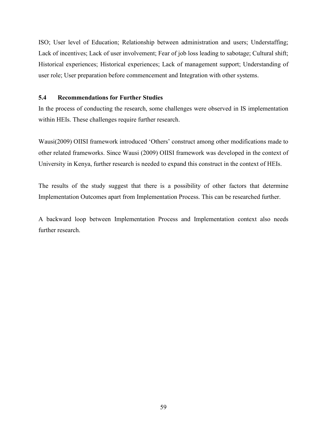ISO; User level of Education; Relationship between administration and users; Understaffing; Lack of incentives; Lack of user involvement; Fear of job loss leading to sabotage; Cultural shift; Historical experiences; Historical experiences; Lack of management support; Understanding of user role; User preparation before commencement and Integration with other systems.

## **5.4 Recommendations for Further Studies**

In the process of conducting the research, some challenges were observed in IS implementation within HEIs. These challenges require further research.

Wausi(2009) OIISI framework introduced 'Others' construct among other modifications made to other related frameworks. Since Wausi (2009) OIISI framework was developed in the context of University in Kenya, further research is needed to expand this construct in the context of HEIs.

The results of the study suggest that there is a possibility of other factors that determine Implementation Outcomes apart from Implementation Process. This can be researched further.

A backward loop between Implementation Process and Implementation context also needs further research.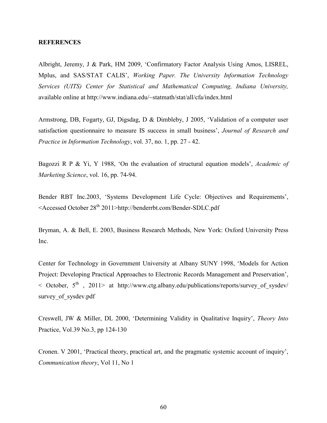#### **REFERENCES**

Albright, Jeremy, J & Park, HM 2009, 'Confirmatory Factor Analysis Using Amos, LISREL, Mplus, and SAS/STAT CALIS', *Working Paper. The University Information Technology Services (UITS) Center for Statistical and Mathematical Computing, Indiana University,*  available online at http://www.indiana.edu/~statmath/stat/all/cfa/index.html

Armstrong, DB, Fogarty, GJ, Digsdag, D & Dimbleby, J 2005, 'Validation of a computer user satisfaction questionnaire to measure IS success in small business', *Journal of Research and Practice in Information Technology*, vol. 37, no. 1, pp. 27 - 42.

Bagozzi R P & Yi, Y 1988, 'On the evaluation of structural equation models', *Academic of Marketing Science*, vol. 16, pp. 74-94.

Bender RBT Inc.2003, 'Systems Development Life Cycle: Objectives and Requirements', <Accessed October 28th 2011>http://benderrbt.com/Bender-SDLC.pdf

Bryman, A. & Bell, E. 2003, Business Research Methods, New York: Oxford University Press Inc.

Center for Technology in Government University at Albany SUNY 1998, 'Models for Action Project: Developing Practical Approaches to Electronic Records Management and Preservation',  $\leq$  October,  $5^{th}$ , 2011> at http://www.ctg.albany.edu/publications/reports/survey of sysdev/ survey of sysdev.pdf

Creswell, JW & Miller, DL 2000, 'Determining Validity in Qualitative Inquiry', *Theory Into*  Practice, Vol.39 No.3, pp 124-130

Cronen. V 2001, 'Practical theory, practical art, and the pragmatic systemic account of inquiry', *Communication theory*, Vol 11, No 1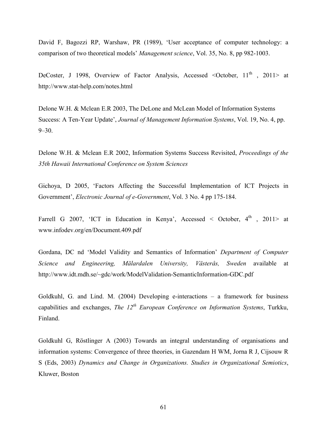David F, Bagozzi RP, Warshaw, PR (1989), 'User acceptance of computer technology: a comparison of two theoretical models' *Management science*, Vol. 35, No. 8, pp 982-1003.

DeCoster, J 1998, Overview of Factor Analysis, Accessed <October,  $11<sup>th</sup>$ , 2011> at http://www.stat-help.com/notes.html

Delone W.H. & Mclean E.R 2003, The DeLone and McLean Model of Information Systems Success: A Ten-Year Update', *Journal of Management Information Systems*, Vol. 19, No. 4, pp.  $9 - 30$ .

Delone W.H. & Mclean E.R 2002, Information Systems Success Revisited, *Proceedings of the 35th Hawaii International Conference on System Sciences*

Gichoya, D 2005, 'Factors Affecting the Successful Implementation of ICT Projects in Government', *Electronic Journal of e-Government*, Vol. 3 No. 4 pp 175-184.

Farrell G 2007, 'ICT in Education in Kenya', Accessed < October,  $4<sup>th</sup>$ , 2011> at www.infodev.org/en/Document.409.pdf

Gordana, DC nd 'Model Validity and Semantics of Information' *Department of Computer Science and Engineering, Mälardalen University, Västerås, Sweden* available at http://www.idt.mdh.se/~gdc/work/ModelValidation-SemanticInformation-GDC.pdf

Goldkuhl, G. and Lind. M. (2004) Developing e-interactions – a framework for business capabilities and exchanges, *The 12th European Conference on Information Systems*, Turkku, Finland.

Goldkuhl G, Röstlinger A (2003) Towards an integral understanding of organisations and information systems: Convergence of three theories, in Gazendam H WM, Jorna R J, Cijsouw R S (Eds, 2003) *Dynamics and Change in Organizations. Studies in Organizational Semiotics*, Kluwer, Boston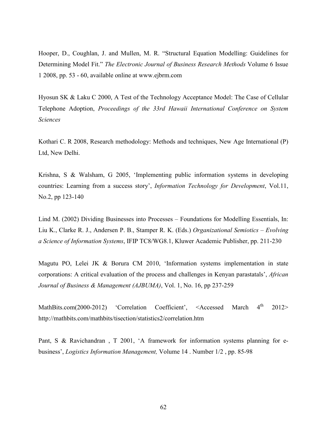Hooper, D., Coughlan, J. and Mullen, M. R. "Structural Equation Modelling: Guidelines for Determining Model Fit." *The Electronic Journal of Business Research Methods* Volume 6 Issue 1 2008, pp. 53 - 60, available online at www.ejbrm.com

Hyosun SK & Laku C 2000, A Test of the Technology Acceptance Model: The Case of Cellular Telephone Adoption, *Proceedings of the 33rd Hawaii International Conference on System Sciences* 

Kothari C. R 2008, Research methodology: Methods and techniques, New Age International (P) Ltd, New Delhi.

Krishna, S & Walsham, G 2005, 'Implementing public information systems in developing countries: Learning from a success story', *Information Technology for Development*, Vol.11, No.2, pp 123-140

Lind M. (2002) Dividing Businesses into Processes – Foundations for Modelling Essentials, In: Liu K., Clarke R. J., Andersen P. B., Stamper R. K. (Eds.) *Organizational Semiotics – Evolving a Science of Information Systems*, IFIP TC8/WG8.1, Kluwer Academic Publisher, pp. 211-230

Magutu PO, Lelei JK & Borura CM 2010, 'Information systems implementation in state corporations: A critical evaluation of the process and challenges in Kenyan parastatals', *African Journal of Business & Management (AJBUMA)*, Vol. 1, No. 16, pp 237-259

MathBits.com(2000-2012) 'Correlation Coefficient', <Accessed March 4<sup>th</sup>  $2012>$ http://mathbits.com/mathbits/tisection/statistics2/correlation.htm

Pant, S & Ravichandran , T 2001, 'A framework for information systems planning for ebusiness', *Logistics Information Management,* Volume 14 . Number 1/2 , pp. 85-98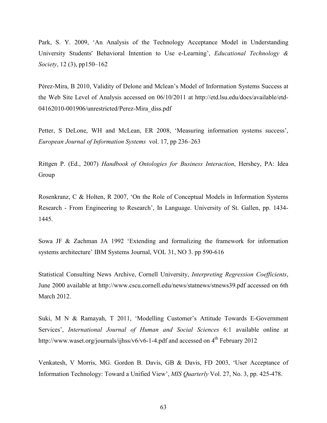Park, S. Y. 2009, 'An Analysis of the Technology Acceptance Model in Understanding University Students' Behavioral Intention to Use e-Learning', *Educational Technology & Society*, 12 (3), pp150–162

Pérez-Mira, B 2010, Validity of Delone and Mclean's Model of Information Systems Success at the Web Site Level of Analysis accessed on 06/10/2011 at http://etd.lsu.edu/docs/available/etd-04162010-001906/unrestricted/Perez-Mira\_diss.pdf

Petter, S DeLone, WH and McLean, ER 2008, 'Measuring information systems success', *European Journal of Information Systems* vol. 17, pp 236–263

Rittgen P. (Ed., 2007) *Handbook of Ontologies for Business Interaction*, Hershey, PA: Idea Group

Rosenkranz, C & Holten, R 2007, 'On the Role of Conceptual Models in Information Systems Research - From Engineering to Research', In Language. University of St. Gallen, pp. 1434- 1445.

Sowa JF & Zachman JA 1992 'Extending and formalizing the framework for information systems architecture' IBM Systems Journal, VOL 31, NO 3. pp 590-616

Statistical Consulting News Archive, Cornell University, *Interpreting Regression Coefficients*, June 2000 available at http://www.cscu.cornell.edu/news/statnews/stnews39.pdf accessed on 6th March 2012.

Suki, M N & Ramayah, T 2011, 'Modelling Customer's Attitude Towards E-Government Services', *International Journal of Human and Social Sciences* 6:1 available online at http://www.waset.org/journals/ijhss/v6/v6-1-4.pdf and accessed on  $4<sup>th</sup>$  February 2012

Venkatesh, V Morris, MG. Gordon B. Davis, GB & Davis, FD 2003, 'User Acceptance of Information Technology: Toward a Unified View', *MIS Quarterly* Vol. 27, No. 3, pp. 425-478.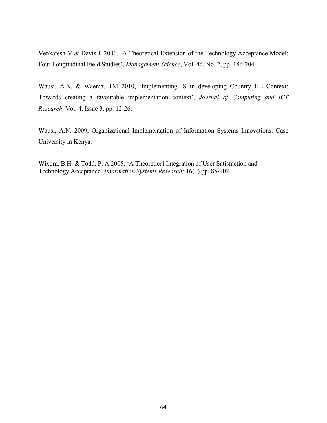Venkatesh V & Davis F 2000, 'A Theoretical Extension of the Technology Acceptance Model: Four Longitudinal Field Studies', *Management Science*, Vol. 46, No. 2, pp. 186-204

Wausi, A.N. & Waema, TM 2010, 'Implementing IS in developing Country HE Context: Towards creating a favourable implementation context', *Journal of Computing and ICT Research*, Vol. 4, Issue 3, pp. 12-26.

Wausi, A.N. 2009, Organizational Implementation of Information Systems Innovations: Case University in Kenya.

Wixom, B.H. & Todd, P. A 2005, 'A Theoretical Integration of User Satisfaction and Technology Acceptance' *Information Systems Research;* 16(1) pp. 85-102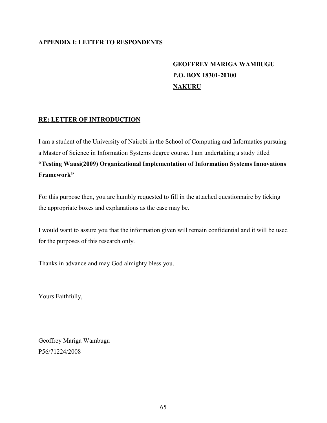#### **APPENDIX I: LETTER TO RESPONDENTS**

# **GEOFFREY MARIGA WAMBUGU P.O. BOX 18301-20100 NAKURU**

#### **RE: LETTER OF INTRODUCTION**

I am a student of the University of Nairobi in the School of Computing and Informatics pursuing a Master of Science in Information Systems degree course. I am undertaking a study titled **"Testing Wausi(2009) Organizational Implementation of Information Systems Innovations Framework"** 

For this purpose then, you are humbly requested to fill in the attached questionnaire by ticking the appropriate boxes and explanations as the case may be.

I would want to assure you that the information given will remain confidential and it will be used for the purposes of this research only.

Thanks in advance and may God almighty bless you.

Yours Faithfully,

Geoffrey Mariga Wambugu P56/71224/2008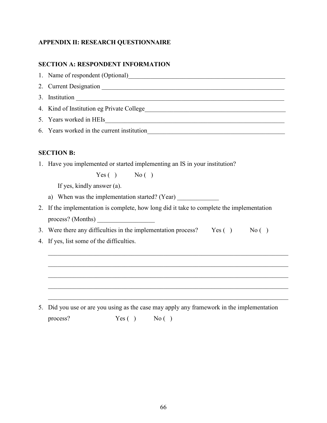#### **APPENDIX II: RESEARCH QUESTIONNAIRE**

#### **SECTION A: RESPONDENT INFORMATION**

1. Name of respondent (Optional)\_\_\_\_\_\_\_\_\_\_\_\_\_\_\_\_\_\_\_\_\_\_\_\_\_\_\_\_\_\_\_\_\_\_\_\_\_\_\_\_\_\_\_\_\_\_\_\_\_ 2. Current Designation \_\_\_\_\_\_\_\_\_\_\_\_\_\_\_\_\_\_\_\_\_\_\_\_\_\_\_\_\_\_\_\_\_\_\_\_\_\_\_\_\_\_\_\_\_\_\_\_\_\_\_\_\_\_\_\_\_ 3. Institution \_\_\_\_\_\_\_\_\_\_\_\_\_\_\_\_\_\_\_\_\_\_\_\_\_\_\_\_\_\_\_\_\_\_\_\_\_\_\_\_\_\_\_\_\_\_\_\_\_\_\_\_\_\_\_\_\_\_\_\_\_\_\_\_\_ 4. Kind of Institution eg Private College\_\_\_\_\_\_\_\_\_\_\_\_\_\_\_\_\_\_\_\_\_\_\_\_\_\_\_\_\_\_\_\_\_\_\_\_\_\_\_\_\_\_\_\_ 5. Years worked in HEIs 6. Years worked in the current institution\_\_\_\_\_\_\_\_\_\_\_\_\_\_\_\_\_\_\_\_\_\_\_\_\_\_\_\_\_\_\_\_\_\_\_\_\_\_\_\_\_\_\_

#### **SECTION B:**

1. Have you implemented or started implementing an IS in your institution?

 $Yes( )$  No ()

If yes, kindly answer (a).

- a) When was the implementation started? (Year)
- 2. If the implementation is complete, how long did it take to complete the implementation process? (Months) \_\_\_\_\_\_\_\_\_\_\_\_\_\_\_\_\_\_
- 3. Were there any difficulties in the implementation process?  $Yes( )$  No ()

\_\_\_\_\_\_\_\_\_\_\_\_\_\_\_\_\_\_\_\_\_\_\_\_\_\_\_\_\_\_\_\_\_\_\_\_\_\_\_\_\_\_\_\_\_\_\_\_\_\_\_\_\_\_\_\_\_\_\_\_\_\_\_\_\_\_\_\_\_\_\_\_\_\_\_

\_\_\_\_\_\_\_\_\_\_\_\_\_\_\_\_\_\_\_\_\_\_\_\_\_\_\_\_\_\_\_\_\_\_\_\_\_\_\_\_\_\_\_\_\_\_\_\_\_\_\_\_\_\_\_\_\_\_\_\_\_\_\_\_\_\_\_\_\_\_\_\_\_\_\_

\_\_\_\_\_\_\_\_\_\_\_\_\_\_\_\_\_\_\_\_\_\_\_\_\_\_\_\_\_\_\_\_\_\_\_\_\_\_\_\_\_\_\_\_\_\_\_\_\_\_\_\_\_\_\_\_\_\_\_\_\_\_\_\_\_\_\_\_\_\_\_\_\_\_\_

\_\_\_\_\_\_\_\_\_\_\_\_\_\_\_\_\_\_\_\_\_\_\_\_\_\_\_\_\_\_\_\_\_\_\_\_\_\_\_\_\_\_\_\_\_\_\_\_\_\_\_\_\_\_\_\_\_\_\_\_\_\_\_\_\_\_\_\_\_\_\_\_\_\_\_

\_\_\_\_\_\_\_\_\_\_\_\_\_\_\_\_\_\_\_\_\_\_\_\_\_\_\_\_\_\_\_\_\_\_\_\_\_\_\_\_\_\_\_\_\_\_\_\_\_\_\_\_\_\_\_\_\_\_\_\_\_\_\_\_\_\_\_\_\_\_\_\_\_\_\_

4. If yes, list some of the difficulties.

5. Did you use or are you using as the case may apply any framework in the implementation process?  $Yes()$  No ()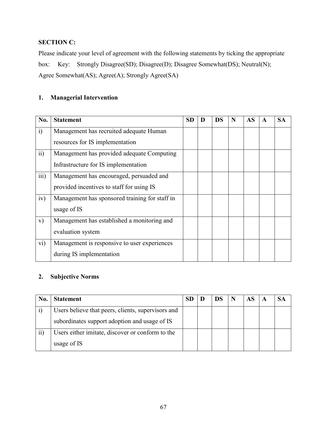### **SECTION C:**

Please indicate your level of agreement with the following statements by ticking the appropriate box: Key: Strongly Disagree(SD); Disagree(D); Disagree Somewhat(DS); Neutral(N); Agree Somewhat(AS); Agree(A); Strongly Agree(SA)

### **1. Managerial Intervention**

| No.             | <b>Statement</b>                               | <b>SD</b> | D | DS | N | <b>AS</b> | A | <b>SA</b> |
|-----------------|------------------------------------------------|-----------|---|----|---|-----------|---|-----------|
| $\ddot{1}$      | Management has recruited adequate Human        |           |   |    |   |           |   |           |
|                 | resources for IS implementation                |           |   |    |   |           |   |           |
| $\overline{11}$ | Management has provided adequate Computing     |           |   |    |   |           |   |           |
|                 | Infrastructure for IS implementation           |           |   |    |   |           |   |           |
| iii)            | Management has encouraged, persuaded and       |           |   |    |   |           |   |           |
|                 | provided incentives to staff for using IS      |           |   |    |   |           |   |           |
| iv)             | Management has sponsored training for staff in |           |   |    |   |           |   |           |
|                 | usage of IS                                    |           |   |    |   |           |   |           |
| V)              | Management has established a monitoring and    |           |   |    |   |           |   |           |
|                 | evaluation system                              |           |   |    |   |           |   |           |
| vi)             | Management is responsive to user experiences   |           |   |    |   |           |   |           |
|                 | during IS implementation                       |           |   |    |   |           |   |           |

### **2. Subjective Norms**

| No.             | <b>Statement</b>                                   |  | DS | N | AS |  |
|-----------------|----------------------------------------------------|--|----|---|----|--|
|                 | Users believe that peers, clients, supervisors and |  |    |   |    |  |
|                 | subordinates support adoption and usage of IS      |  |    |   |    |  |
| $\overline{ii}$ | Users either imitate, discover or conform to the   |  |    |   |    |  |
|                 | usage of IS                                        |  |    |   |    |  |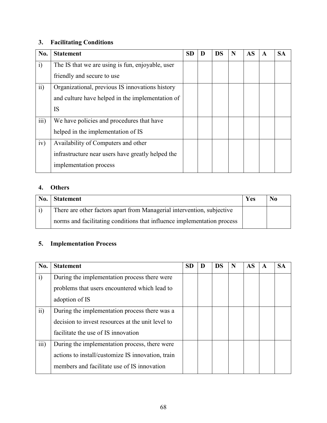# **3. Facilitating Conditions**

| No.             | <b>Statement</b>                                  | <b>SD</b> | <b>DS</b> | N | <b>AS</b> | A | <b>SA</b> |
|-----------------|---------------------------------------------------|-----------|-----------|---|-----------|---|-----------|
| $\ddot{1}$      | The IS that we are using is fun, enjoyable, user  |           |           |   |           |   |           |
|                 | friendly and secure to use                        |           |           |   |           |   |           |
| $\overline{ii}$ | Organizational, previous IS innovations history   |           |           |   |           |   |           |
|                 | and culture have helped in the implementation of  |           |           |   |           |   |           |
|                 | IS                                                |           |           |   |           |   |           |
| iii)            | We have policies and procedures that have         |           |           |   |           |   |           |
|                 | helped in the implementation of IS                |           |           |   |           |   |           |
| iv)             | Availability of Computers and other               |           |           |   |           |   |           |
|                 | infrastructure near users have greatly helped the |           |           |   |           |   |           |
|                 | implementation process                            |           |           |   |           |   |           |

### **4. Others**

| No. | <b>Statement</b>                                                        | Yes | No |
|-----|-------------------------------------------------------------------------|-----|----|
|     | There are other factors apart from Managerial intervention, subjective  |     |    |
|     | norms and facilitating conditions that influence implementation process |     |    |

# **5. Implementation Process**

| No.             | <b>Statement</b>                                  | <b>SD</b> | <b>DS</b> | N | AS | A | <b>SA</b> |
|-----------------|---------------------------------------------------|-----------|-----------|---|----|---|-----------|
| $\ddot{1}$      | During the implementation process there were      |           |           |   |    |   |           |
|                 | problems that users encountered which lead to     |           |           |   |    |   |           |
|                 | adoption of IS                                    |           |           |   |    |   |           |
| $\overline{ii}$ | During the implementation process there was a     |           |           |   |    |   |           |
|                 | decision to invest resources at the unit level to |           |           |   |    |   |           |
|                 | facilitate the use of IS innovation               |           |           |   |    |   |           |
| iii)            | During the implementation process, there were     |           |           |   |    |   |           |
|                 | actions to install/customize IS innovation, train |           |           |   |    |   |           |
|                 | members and facilitate use of IS innovation       |           |           |   |    |   |           |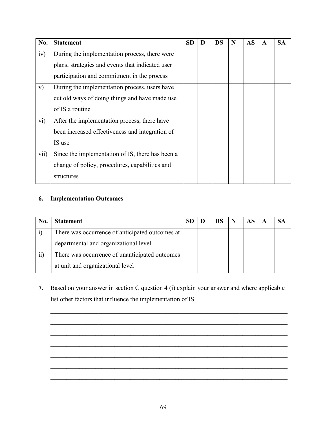| No.               | <b>Statement</b>                                 | <b>SD</b> | DS | N | <b>AS</b> | A | <b>SA</b> |
|-------------------|--------------------------------------------------|-----------|----|---|-----------|---|-----------|
| iv)               | During the implementation process, there were    |           |    |   |           |   |           |
|                   | plans, strategies and events that indicated user |           |    |   |           |   |           |
|                   | participation and commitment in the process      |           |    |   |           |   |           |
| V)                | During the implementation process, users have    |           |    |   |           |   |           |
|                   | cut old ways of doing things and have made use   |           |    |   |           |   |           |
|                   | of IS a routine                                  |           |    |   |           |   |           |
| $\overline{vi}$ ) | After the implementation process, there have     |           |    |   |           |   |           |
|                   | been increased effectiveness and integration of  |           |    |   |           |   |           |
|                   | IS use                                           |           |    |   |           |   |           |
| vii)              | Since the implementation of IS, there has been a |           |    |   |           |   |           |
|                   | change of policy, procedures, capabilities and   |           |    |   |           |   |           |
|                   | structures                                       |           |    |   |           |   |           |

# **6. Implementation Outcomes**

| No. | <b>Statement</b>                                |  | N | AS | A |  |
|-----|-------------------------------------------------|--|---|----|---|--|
|     | There was occurrence of anticipated outcomes at |  |   |    |   |  |
|     | departmental and organizational level           |  |   |    |   |  |
|     | There was occurrence of unanticipated outcomes  |  |   |    |   |  |
|     | at unit and organizational level                |  |   |    |   |  |

**7.** Based on your answer in section C question 4 (i) explain your answer and where applicable list other factors that influence the implementation of IS.

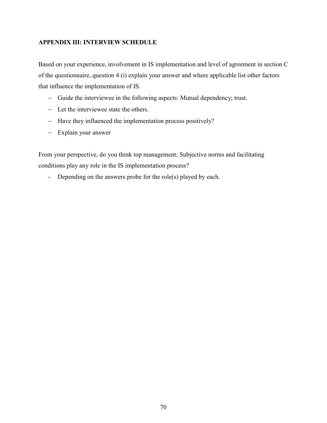#### **APPENDIX III: INTERVIEW SCHEDULE**

Based on your experience, involvement in IS implementation and level of agreement in section C of the questionnaire, question 4 (i) explain your answer and where applicable list other factors that influence the implementation of IS.

- − Guide the interviewee in the following aspects: Mutual dependency; trust.
- − Let the interviewee state the others.
- − Have they influenced the implementation process positively?
- − Explain your answer

From your perspective, do you think top management; Subjective norms and facilitating conditions play any role in the IS implementation process?

- Depending on the answers probe for the role(s) played by each.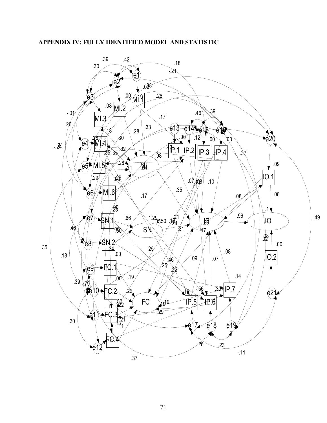#### **APPENDIX IV: FULLY IDENTIFIED MODEL AND STATISTIC**

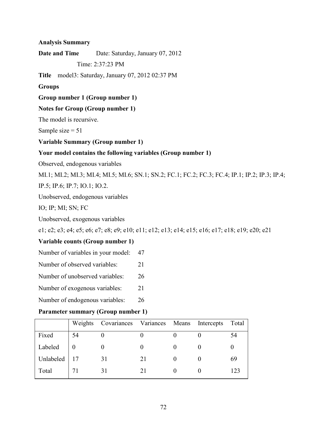#### **Analysis Summary**

**Date and Time** Date: Saturday, January 07, 2012

Time: 2:37:23 PM

**Title** model3: Saturday, January 07, 2012 02:37 PM

#### **Groups**

#### **Group number 1 (Group number 1)**

#### **Notes for Group (Group number 1)**

The model is recursive.

Sample size  $= 51$ 

#### **Variable Summary (Group number 1)**

#### **Your model contains the following variables (Group number 1)**

Observed, endogenous variables

MI.1; MI.2; MI.3; MI.4; MI.5; MI.6; SN.1; SN.2; FC.1; FC.2; FC.3; FC.4; IP.1; IP.2; IP.3; IP.4;

IP.5; IP.6; IP.7; IO.1; IO.2.

Unobserved, endogenous variables

IO; IP; MI; SN; FC

Unobserved, exogenous variables

e1; e2; e3; e4; e5; e6; e7; e8; e9; e10; e11; e12; e13; e14; e15; e16; e17; e18; e19; e20; e21

#### **Variable counts (Group number 1)**

- Number of variables in your model: 47
- Number of observed variables: 21
- Number of unobserved variables: 26
- Number of exogenous variables: 21
- Number of endogenous variables: 26

#### **Parameter summary (Group number 1)**

|           |    | Weights Covariances Variances Means Intercepts |    |  | Total        |
|-----------|----|------------------------------------------------|----|--|--------------|
| Fixed     | 54 |                                                |    |  | 54           |
| Labeled   |    |                                                |    |  |              |
| Unlabeled |    | 31                                             | 21 |  | 69           |
| Total     |    |                                                |    |  | $12^{\circ}$ |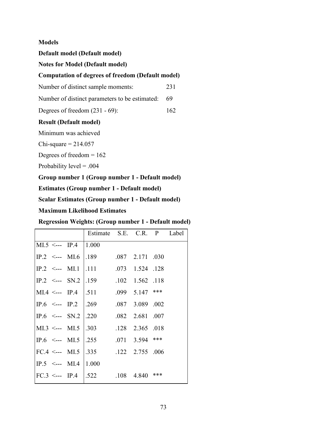#### **Models**

**Default model (Default model)** 

**Notes for Model (Default model)** 

#### **Computation of degrees of freedom (Default model)**

Number of distinct sample moments: 231

Number of distinct parameters to be estimated: 69

Degrees of freedom (231 - 69): 162

#### **Result (Default model)**

Minimum was achieved

 $Chi-square = 214.057$ 

Degrees of freedom = 162

Probability level = .004

**Group number 1 (Group number 1 - Default model)** 

**Estimates (Group number 1 - Default model)** 

**Scalar Estimates (Group number 1 - Default model)** 

**Maximum Likelihood Estimates** 

**Regression Weights: (Group number 1 - Default model)** 

|                                |  | Estimate S.E. C.R. P Label                                           |                   |  |
|--------------------------------|--|----------------------------------------------------------------------|-------------------|--|
| $MI.5 \leftarrow$ IP.4   1.000 |  |                                                                      |                   |  |
|                                |  | IP.2 $\leq$ MI.6   189 .087 2.171 .030                               |                   |  |
|                                |  | IP.2 $\leq$ --- MI.1  .111 .073 1.524 .128                           |                   |  |
|                                |  | IP.2 $\leq$ SN.2   159 102 1.562 118                                 |                   |  |
|                                |  | MI.4 <--- IP.4   .511 .099 5.147 ***                                 |                   |  |
|                                |  | IP.6 $\leq$ --- IP.2   .269 .087 3.089 .002                          |                   |  |
|                                |  | IP.6 $\leq$ --- SN.2   220                                           | $.082$ 2.681 .007 |  |
|                                |  | MI.3 <--- MI.5   .303 .128 2.365 .018                                |                   |  |
|                                |  | IP.6 $\leq$ --- MI.5   .255                                          | $.071$ 3.594 ***  |  |
|                                |  | FC.4 <--- MI.5 $\vert .335 \vert .122 \vert .2.755 \vert .006 \vert$ |                   |  |
| IP.5 $\leq$ --- MI.4   1.000   |  |                                                                      |                   |  |
|                                |  | FC.3 <--- IP.4   $.522$ .108 4.840 ***                               |                   |  |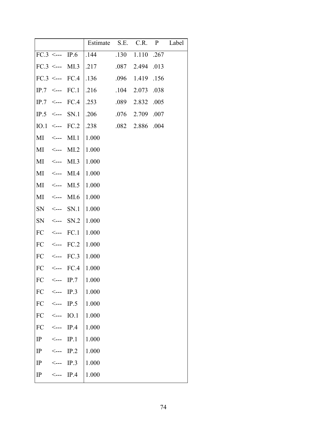|                   |                                          |             | Estimate S.E. C.R. P |      |                 |      | Label |
|-------------------|------------------------------------------|-------------|----------------------|------|-----------------|------|-------|
| $FC.3 \leftarrow$ |                                          | IP.6        | .144                 |      | .130 1.110 .267 |      |       |
| $FC.3 \leftarrow$ |                                          | MI.3        | .217                 | .087 | 2.494           | .013 |       |
| $FC.3 \leq -2$    |                                          | FC.4        | .136                 |      | $.096$ 1.419    | .156 |       |
| IP.7              | $\mathrel{<}\!\mathrel{--}\!\mathrel{=}$ | FC.1        | .216                 | .104 | 2.073           | .038 |       |
| IP.7              | $\leftarrow$ ---                         | FC.4        | .253                 | .089 | 2.832           | .005 |       |
| $IP.5$ <---       |                                          | SN.1        | .206                 |      | $.076$ 2.709    | .007 |       |
| $IO.1 \leftarrow$ |                                          | FC.2        | .238                 | .082 | 2.886           | .004 |       |
| MI                | $\operatorname{\!<\!---}\nolimits$       | MI.1        | 1.000                |      |                 |      |       |
| MI                | $\mathrel{<}\!\mathrel{--}\!\mathrel{=}$ | MI.2        | 1.000                |      |                 |      |       |
| MI                | $\leftarrow$ ---                         | MI.3        | 1.000                |      |                 |      |       |
| MI                | <----                                    | MI.4        | 1.000                |      |                 |      |       |
| MI                | $\mathrel{<}\!\mathrel{--}\!\mathrel{=}$ | MI.5        | 1.000                |      |                 |      |       |
| МI                | <---                                     | MI.6        | 1.000                |      |                 |      |       |
| SN                | $\leftarrow$ ---                         | SN.1        | 1.000                |      |                 |      |       |
| SN                | $\leftarrow$ ---                         | SN.2        | 1.000                |      |                 |      |       |
| FC                | $\operatorname{\!<\!---}\nolimits$       | FC.1        | 1.000                |      |                 |      |       |
| FC                | $\mathrel{<}\!\mathrel{--}\!\mathrel{=}$ | FC.2        | 1.000                |      |                 |      |       |
| FC                | $\operatorname{\!<\!---}$                | FC.3        | 1.000                |      |                 |      |       |
| FC                | <---                                     | FC.4        | 1.000                |      |                 |      |       |
| FC                | <--->                                    | IP.7        | 1.000                |      |                 |      |       |
| FC                | $\mathrel{<}\mathrel{--}\mathrel{--}$    | IP.3        | 1.000                |      |                 |      |       |
| FC                | $\leftarrow$ ---                         | IP.5        | 1.000                |      |                 |      |       |
| FC                | $\leftarrow$ ---                         | <b>IO.1</b> | 1.000                |      |                 |      |       |
| FC                | $\operatorname{\sf \small \leq }$ ---    | IP.4        | 1.000                |      |                 |      |       |
| IP                | $\mathrel{<}\scriptstyle{\text{---}}$    | IP.1        | 1.000                |      |                 |      |       |
| IP                | $\mathrel{<}\scriptstyle{\text{---}}$    | IP.2        | 1.000                |      |                 |      |       |
| IP                | $\mathrel{<}\!\mathrel{--}\!\mathrel{=}$ | IP.3        | 1.000                |      |                 |      |       |
| $_{\rm IP}$       | $\operatorname{\!<\!---}$                | IP.4        | 1.000                |      |                 |      |       |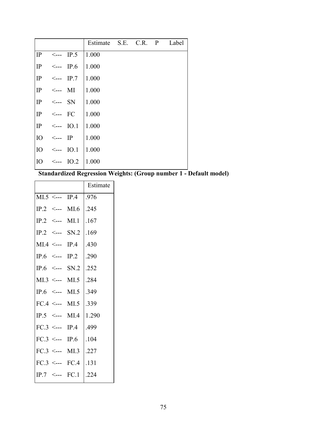|                 |                                       |                   | Estimate S.E. C.R. P |  | Label |
|-----------------|---------------------------------------|-------------------|----------------------|--|-------|
| IP              | <----                                 | IP.5              | 1.000                |  |       |
| IP              | $\operatorname{\sf \small \leq }$ --- | IP.6              | 1.000                |  |       |
| $\mathbf{IP}$   | $\operatorname{\sf \small \leq }$ --- | IP.7              | 1.000                |  |       |
| IP              | $\leftarrow$ ---                      | MI                | 1.000                |  |       |
| IP              | $\leftarrow$ SN                       |                   | 1.000                |  |       |
| IP              | <---                                  | FC                | 1.000                |  |       |
| IP              |                                       | $\leftarrow$ IO.1 | 1.000                |  |       |
| IO              | <---                                  | $_{\rm IP}$       | 1.000                |  |       |
| IO <sub>1</sub> | <---                                  | <b>IO.1</b>       | 1.000                |  |       |
| IO              | $\leftarrow$ ---                      | IO.2              | 1.000                |  |       |
|                 |                                       |                   |                      |  |       |

# **Standardized Regression Weights: (Group number 1 - Default model)**

|                          |                           | Estimate           |
|--------------------------|---------------------------|--------------------|
| $MI.5 \leftarrow IP.4$   |                           | .976               |
|                          | $IP.2 \leftarrow -1$ MI.6 | .245               |
|                          | $IP.2 \leftarrow -$ MI.1  | .167               |
|                          | $IP.2 \leftarrow SN.2$    | .169               |
| $MI.4 \leftarrow$ IP.4   |                           | .430               |
| IP.6 <--- IP.2           |                           | .290               |
|                          | IP.6 $\leq$ --- SN.2      | $\vert .252 \vert$ |
|                          | $MI.3 \leftarrow$ MI.5    | .284               |
|                          | IP.6 $\leq$ --- MI.5      | .349               |
|                          | $FC.4 \leftarrow M1.5$    | .339               |
|                          | IP.5 <--- $MI.4$          | 1.290              |
| $FC.3 \leftarrow -$ IP.4 |                           | .499               |
| $FC.3 \leftarrow -$ IP.6 |                           | .104               |
|                          | $FC.3 \leftarrow M1.3$    | .227               |
|                          | $FC.3 \leftarrow FCA$     | .131               |
|                          | $IP.7 \leftarrow$ FC.1    | .224               |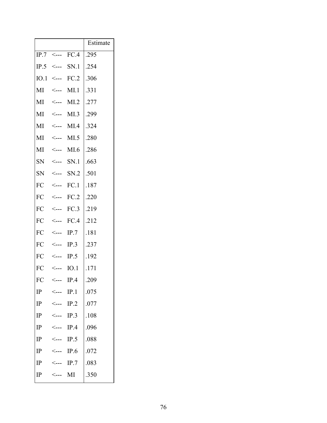|                   |                                            |      | Estimate |
|-------------------|--------------------------------------------|------|----------|
| $IP.7$ <---       |                                            | FC.4 | .295     |
| $IP.5$ <---       |                                            | SN.1 | .254     |
| $IO.1 \leftarrow$ |                                            | FC.2 | .306     |
| МI                | $\leftarrow$                               | MI.1 | .331     |
| MI                | $\operatorname{\sf \small <---}$           | MI.2 | .277     |
| MI                | <---                                       | MI.3 | .299     |
| MI                | $\leftarrow$                               | MI.4 | .324     |
| MI                | $\leftarrow$ ---                           | MI.5 | .280     |
| MI                | <----                                      | MI.6 | .286     |
| <b>SN</b>         | $\leftarrow$ ---                           | SN.1 | .663     |
| <b>SN</b>         | $\mathrel{<}\scriptstyle{-}{\mathrel{--}}$ | SN.2 | .501     |
| FC                | $\operatorname{\sf \small <---}$           | FC.1 | .187     |
| FC                | <---                                       | FC.2 | .220     |
| FC                | <---                                       | FC.3 | .219     |
| FC                | $\leftarrow$ ---                           | FC.4 | .212     |
| FC                | $\leftarrow$ ---                           | IP.7 | .181     |
| FC                | $\leftarrow$                               | IP.3 | .237     |
| FC                | $\leftarrow$                               | IP.5 | .192     |
| FC                |                                            | IO.1 | .171     |
| FC                |                                            | IP.4 | .209     |
| $_{\rm IP}$       |                                            | IP.1 | .075     |
| $_{\rm IP}$       |                                            | IP.2 | .077     |
| IP                |                                            | IP.3 | .108     |
| $_{\rm IP}$       |                                            | IP.4 | .096     |
| $_{\rm IP}$       | <---                                       | IP.5 | .088     |
| $_{\rm IP}$       |                                            | IP.6 | .072     |
| IP                |                                            | IP.7 | .083     |
| IP                |                                            | MI   | .350     |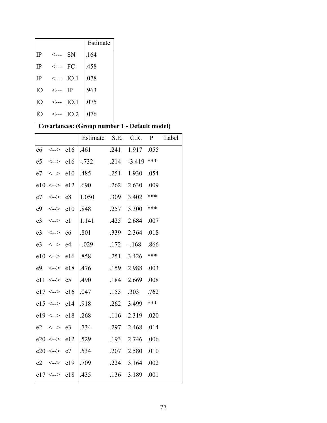|    |                  |      | Estimate |
|----|------------------|------|----------|
| IP | <--->            | SN   | .164     |
| IP | <---             | FC   | .458     |
| IP | $\leftarrow$ --- | IO.1 | .078     |
| IO | <---             | IP   | .963     |
| IO | <--->            | IO.1 | .075     |
| IO | $\leftarrow$ --- | IO.2 | .076     |

# **Covariances: (Group number 1 - Default model)**

|                |                          |                | Estimate | S.E. | C.R.     | $\mathbf{P}$ | Label |
|----------------|--------------------------|----------------|----------|------|----------|--------------|-------|
| e6             | $\texttt{<}\texttt{--}>$ | e16            | .461     | .241 | 1.917    | .055         |       |
| e5             | $\texttt{<}\texttt{--}>$ | e16            | $-0.732$ | .214 | $-3.419$ | ***          |       |
| e7             | <-->                     | e10            | .485     | .251 | 1.930    | .054         |       |
|                | $e10 \le -$              | e12            | .690     | .262 | 2.630    | .009         |       |
| e7             | $\texttt{<}\texttt{--}>$ | e8             | 1.050    | .309 | 3.402    | ***          |       |
| e9             | $\texttt{<=}$            | e10            | .848     | .257 | 3.300    | ***          |       |
| e <sub>3</sub> | $\texttt{<}\texttt{--}>$ | e1             | 1.141    | .425 | 2.684    | .007         |       |
| e <sub>3</sub> | $\texttt{<=}$            | e <sub>6</sub> | .801     | .339 | 2.364    | .018         |       |
| e <sub>3</sub> | $\texttt{<=}$            | e4             | $-.029$  | .172 | $-168$   | .866         |       |
| e10            | $\leftarrow$             | e16            | .858     | .251 | 3.426    | ***          |       |
| e <sup>9</sup> | <-->                     | e18            | .476     | .159 | 2.988    | .003         |       |
| e11            | $\texttt{<}\texttt{--}>$ | e <sub>5</sub> | .490     | .184 | 2.669    | .008         |       |
|                | $e17 \le -$              | e16            | .047     | .155 | .303     | .762         |       |
|                | $e15 \le -$              | e14            | .918     | .262 | 3.499    | ***          |       |
|                | $e19 \le -$              | e18            | .268     | .116 | 2.319    | .020         |       |
| e2             | <-->                     | e <sub>3</sub> | .734     | .297 | 2.468    | .014         |       |
|                | $e20 \le -$              | e12            | .529     | .193 | 2.746    | .006         |       |
|                | $e20 \le -$              | e7             | .534     | .207 | 2.580    | .010         |       |
| e2             | <-->                     | e19            | .709     | .224 | 3.164    | .002         |       |
| e17            | <-->                     | e18            | .435     | .136 | 3.189    | .001         |       |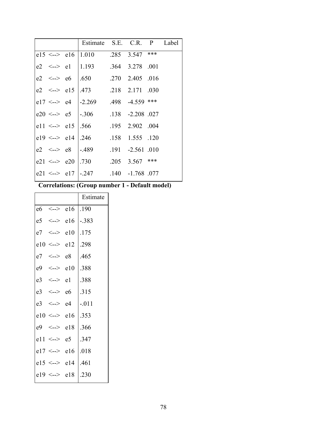|  |                      | Estimate S.E. C.R. P Label              |  |  |
|--|----------------------|-----------------------------------------|--|--|
|  |                      | e15 <--> e16   1.010 .285 3.547 ***     |  |  |
|  |                      | e2 $\leq$ - l   1.193 .364 3.278 .001   |  |  |
|  |                      | e2 <--> e6 $1.650$ .270 2.405 .016      |  |  |
|  |                      | e2 $\leq$ -> e15   .473 .218 2.171 .030 |  |  |
|  |                      | e17 <--> e4  -2.269 .498 -4.559 ***     |  |  |
|  |                      | e20 <--> e5  -.306 .138 -2.208 .027     |  |  |
|  |                      | e11 <--> e15   .566 .195 2.902 .004     |  |  |
|  |                      | e19 <--> e14   $.246$ .158 1.555 .120   |  |  |
|  | $e2 \leq -2 \leq e8$ | $[-.489$ .191 $-2.561$ .010             |  |  |
|  |                      | e21 <--> e20   .730 .205 3.567 ***      |  |  |
|  |                      | e21 <--> e17   -.247 .140 -1.768 .077   |  |  |
|  |                      |                                         |  |  |

**Correlations: (Group number 1 - Default model)** 

|    |                       |                | Estimate |
|----|-----------------------|----------------|----------|
|    | $e6 \leq -2$          | e16            | .190     |
|    | $e5 \leq -2$          | e16            | $-.383$  |
|    | $e7 \le -2$           | e10            | .175     |
|    | $e10 \leq z \leq e12$ |                | .298     |
| e7 | $\leftarrow$ > e8     |                | .465     |
|    | $e9 \le -2$           | e10            | .388     |
|    | $e3 \le -2$           | e1             | .388     |
|    | $e3 \le -2$           | e6             | .315     |
|    | $e3 \leq -2$          | e <sub>4</sub> | $-.011$  |
|    | $e10 \le -$           | e16            | .353     |
|    | $e9 \le -2$           | e18            | .366     |
|    | $e11 \le -2$          | e5             | .347     |
|    | $e17 \leq z \leq e16$ |                | .018     |
|    | $e15 \leq z \leq$ e14 |                | .461     |
|    | $e19 \le -\ge e18$    |                | .230     |
|    |                       |                |          |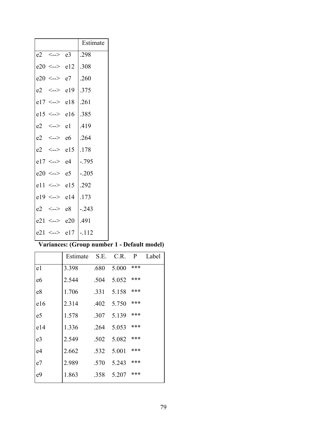|                       |                | Estimate |
|-----------------------|----------------|----------|
| $e2 \leq -2 \leq e3$  |                | .298     |
| $e20 \leq z \leq e12$ |                | .308     |
| $e20 \le -\ge e7$     |                | .260     |
| $e2 \leq -\geq e19$   |                | .375     |
| $e17 \leq z \leq e18$ |                | .261     |
| $e15 \leq z \leq e16$ |                | .385     |
| $e2 \leq -2$          | e1             | .419     |
| $e2 \le -$            | e6             | .264     |
| $e2 \le -$            | e15            | .178     |
| $e17 \leq z \geq e4$  |                | $-.795$  |
| $e20 \le -$           | e <sub>5</sub> | $-.205$  |
| $e11 \le -2$          | e15            | .292     |
| $e19 \le -\ge e14$    |                | .173     |
| $e2 \le -2$           | e8             | $-.243$  |
| $e21 \le -2$          | e20            | .491     |
| $e21 \le -$           | e17            | $-.112$  |

# **Variances: (Group number 1 - Default model)**

|                | Estimate S.E. C.R. P |      |       |     | Label |
|----------------|----------------------|------|-------|-----|-------|
| e1             | 3.398                | .680 | 5.000 | *** |       |
| e6             | 2.544                | .504 | 5.052 | *** |       |
| e8             | 1.706                | .331 | 5.158 | *** |       |
| e16            | 2.314                | .402 | 5.750 | *** |       |
| e <sub>5</sub> | 1.578                | .307 | 5.139 | *** |       |
| e14            | 1.336                | .264 | 5.053 | *** |       |
| e <sub>3</sub> | 2.549                | .502 | 5.082 | *** |       |
| e4             | 2.662                | .532 | 5.001 | *** |       |
| e7             | 2.989                | .570 | 5.243 | *** |       |
| e <sup>9</sup> | 1.863                | .358 | 5.207 | *** |       |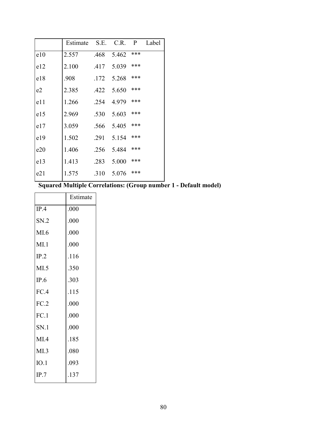| Estimate S.E. C.R. P Label |
|----------------------------|
|                            |
|                            |
|                            |
|                            |
|                            |
|                            |
|                            |
|                            |
|                            |
|                            |
|                            |
|                            |

**Squared Multiple Correlations: (Group number 1 - Default model)** 

|      | Estimate |
|------|----------|
| IP.4 | .000     |
| SN.2 | .000     |
| MI.6 | .000     |
| MI.1 | .000     |
| IP.2 | .116     |
| MI.5 | .350     |
| IP.6 | .303     |
| FC.4 | .115     |
| FC.2 | .000     |
| FC.1 | .000     |
| SN.1 | .000     |
| MI.4 | .185     |
| MI.3 | .080     |
| IO.1 | .093     |
| IP.7 | .137     |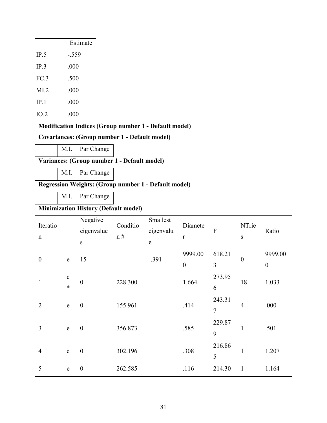|      | Estimate |
|------|----------|
| IP.5 | -.559    |
| IP.3 | .000     |
| FC.3 | .500     |
| MI.2 | .000     |
| IP.1 | .000     |
| IO.2 | .000     |

#### **Modification Indices (Group number 1 - Default model)**

#### **Covariances: (Group number 1 - Default model)**

M.I. Par Change

**Variances: (Group number 1 - Default model)** 

M.I. Par Change

#### **Regression Weights: (Group number 1 - Default model)**

M.I. Par Change

#### **Minimization History (Default model)**

| Iteratio<br>$\mathbf n$ |             | Negative<br>eigenvalue<br>S | Conditio<br>n# | Smallest<br>eigenvalu<br>$\mathbf e$ | Diamete<br>$\mathbf r$ | ${\bf F}$      | NTrie<br>S       | Ratio            |
|-------------------------|-------------|-----------------------------|----------------|--------------------------------------|------------------------|----------------|------------------|------------------|
| $\boldsymbol{0}$        | e           | 15                          |                | $-.391$                              | 9999.00                | 618.21         | $\boldsymbol{0}$ | 9999.00          |
|                         |             |                             |                |                                      | $\boldsymbol{0}$       | $\overline{3}$ |                  | $\boldsymbol{0}$ |
| $\mathbf{1}$            | e           | $\boldsymbol{0}$            | 228.300        |                                      | 1.664                  | 273.95         | 18               | 1.033            |
|                         | $\ast$      |                             |                |                                      |                        | 6              |                  |                  |
| $\overline{2}$          |             | $\boldsymbol{0}$            | 155.961        |                                      | .414                   | 243.31         | $\overline{4}$   | .000             |
|                         | e           |                             |                |                                      |                        | $\overline{7}$ |                  |                  |
| 3                       |             |                             |                |                                      |                        | 229.87         |                  |                  |
|                         | $\mathbf e$ | $\boldsymbol{0}$            | 356.873        |                                      | .585                   | 9              | $\mathbf{1}$     | .501             |
|                         |             |                             |                |                                      |                        | 216.86         |                  |                  |
| $\overline{4}$          | ${\bf e}$   | $\boldsymbol{0}$            | 302.196        |                                      | .308                   | 5              | $\mathbf{1}$     | 1.207            |
| 5                       | e           | $\boldsymbol{0}$            | 262.585        |                                      | .116                   | 214.30         | $\mathbf{1}$     | 1.164            |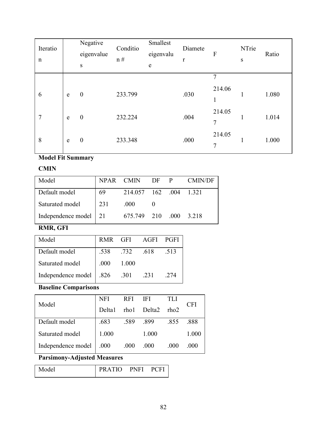| Iteratio<br>$\mathbf n$ |           | Negative<br>eigenvalue<br>${\bf S}$ | Conditio<br>n# | Smallest<br>eigenvalu<br>${\bf e}$ | Diamete<br>$\mathbf r$ | F                        | NTrie<br>${\bf S}$ | Ratio |
|-------------------------|-----------|-------------------------------------|----------------|------------------------------------|------------------------|--------------------------|--------------------|-------|
|                         |           |                                     |                |                                    |                        | 7                        |                    |       |
| 6                       | ${\bf e}$ | $\boldsymbol{0}$                    | 233.799        |                                    | .030                   | 214.06<br>1<br>T         | 1                  | 1.080 |
| 7                       | ${\bf e}$ | $\boldsymbol{0}$                    | 232.224        |                                    | .004                   | 214.05<br>7              | -1                 | 1.014 |
| 8                       | ${\bf e}$ | $\boldsymbol{0}$                    | 233.348        |                                    | .000                   | 214.05<br>$\overline{7}$ | 1                  | 1.000 |

# **Model Fit Summary**

### **CMIN**

| Model                 | NPAR CMIN |                        | DF P |      | <b>CMIN/DF</b> |
|-----------------------|-----------|------------------------|------|------|----------------|
| Default model         | 69        | 214.057 162 .004 1.321 |      |      |                |
| Saturated model       | 231       | .000                   |      |      |                |
| Independence model 21 |           | 675.749 210            |      | .000 | 3 2 1 8        |

# **RMR, GFI**

| Model                     |           | RMR GFI AGFI |      | PGFI |
|---------------------------|-----------|--------------|------|------|
| Default model             | .538 .732 |              | .618 | .513 |
| Saturated model           | .000      | 1.000        |      |      |
| Independence model   .826 |           | .301         | .231 | 274  |

# **Baseline Comparisons**

| Model              | <b>NFI</b> | <b>RFI</b> | <b>IFI</b>  | TLI   |        |
|--------------------|------------|------------|-------------|-------|--------|
|                    | Delta1     |            | rho1 Delta2 | rho2  | CFI    |
| Default model      | .683       | .589       | .899        | .855  | .888   |
| Saturated model    | 1.000      |            | 1.000       |       | 1.000  |
| Independence model | .000       | .000       | .000        | (000) | (0(0)) |

# **Parsimony-Adjusted Measures**

| Model | <b>PRATIO</b> | PNFI | <b>PCFI</b> |
|-------|---------------|------|-------------|
|-------|---------------|------|-------------|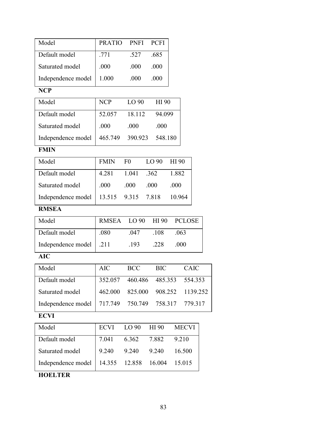| Model              | <b>PRATIO</b> | <b>PNFI</b>      | <b>PCFI</b>      |       |
|--------------------|---------------|------------------|------------------|-------|
| Default model      | .771          | .527             | .685             |       |
| Saturated model    | .000          | .000             | .000             |       |
| Independence model | 1.000         | .000             | .000             |       |
| <b>NCP</b>         |               |                  |                  |       |
| Model              | <b>NCP</b>    | LO <sub>90</sub> | HI 90            |       |
| Default model      | 52.057        | 18.112           | 94.099           |       |
| Saturated model    | .000          | .000             | .000             |       |
| Independence model | 465.749       | 390.923          | 548.180          |       |
| <b>FMIN</b>        |               |                  |                  |       |
| Model              | <b>FMIN</b>   | F <sub>0</sub>   | LO <sub>90</sub> | HI 90 |
| Default model      | 4.281         | 1.041            | .362             | 1.882 |

| DVIUUIL IIIVUUL                                | $1.201$ $1.011$ $.902$ |      |      | 1.002 |
|------------------------------------------------|------------------------|------|------|-------|
| Saturated model                                | $\vert$ .000           | .000 | .000 | .000  |
| Independence model   13.515 9.315 7.818 10.964 |                        |      |      |       |

## **RMSEA**

| Model                     |      |      |      | RMSEA LO 90 HI 90 PCLOSE |
|---------------------------|------|------|------|--------------------------|
| Default model             | .080 | 047  | -108 | -063                     |
| Independence model   .211 |      | -193 | -228 | -000                     |

## **AIC**

| AIC | <b>BCC</b> | <b>BIC</b> | <b>CAIC</b>                                                                                                                    |
|-----|------------|------------|--------------------------------------------------------------------------------------------------------------------------------|
|     |            |            |                                                                                                                                |
|     |            |            |                                                                                                                                |
|     |            |            |                                                                                                                                |
|     |            |            | 352.057 460.486 485.353 554.353<br>462.000 825.000 908.252 1139.252<br>Independence model   717.749  750.749  758.317  779.317 |

# **ECVI**

| Model                                            |             |             | ECVI LO 90 HI 90 MECVI |        |
|--------------------------------------------------|-------------|-------------|------------------------|--------|
| Default model                                    | 7.041       | 6.362 7.882 |                        | 9.210  |
| Saturated model                                  | 9.240 9.240 |             | 9.240                  | 16.500 |
| Independence model   14.355 12.858 16.004 15.015 |             |             |                        |        |

**HOELTER**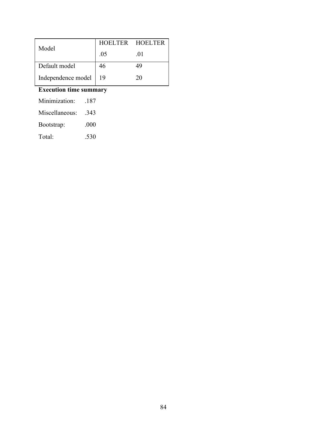|                         | HOELTER HOELTER |     |  |
|-------------------------|-----------------|-----|--|
| Model                   | .05             | .01 |  |
| Default model           | 46              | 49  |  |
| Independence model   19 |                 | 20  |  |

# **Execution time summary**

| Minimization:  | -187 |
|----------------|------|
| Miscellaneous: | -343 |
| Bootstrap:     | .000 |
| Total:         | .530 |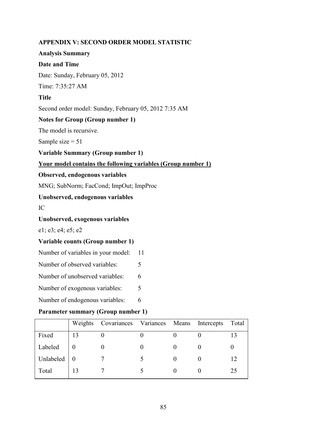#### **APPENDIX V: SECOND ORDER MODEL STATISTIC**

#### **Analysis Summary**

#### **Date and Time**

Date: Sunday, February 05, 2012

Time: 7:35:27 AM

#### **Title**

Second order model: Sunday, February 05, 2012 7:35 AM

#### **Notes for Group (Group number 1)**

The model is recursive.

Sample size  $= 51$ 

**Variable Summary (Group number 1)** 

#### **Your model contains the following variables (Group number 1)**

#### **Observed, endogenous variables**

MNG; SubNorm; FacCond; ImpOut; ImpProc

#### **Unobserved, endogenous variables**

IC

#### **Unobserved, exogenous variables**

e1; e3; e4; e5; e2

#### **Variable counts (Group number 1)**

- Number of variables in your model: 11
- Number of observed variables: 5
- Number of unobserved variables: 6
- Number of exogenous variables: 5
- Number of endogenous variables: 6

#### **Parameter summary (Group number 1)**

|           |    | Weights Covariances Variances Means Intercepts |  | Total |
|-----------|----|------------------------------------------------|--|-------|
| Fixed     | 13 |                                                |  |       |
| Labeled   |    |                                                |  |       |
| Unlabeled |    |                                                |  | 12    |
| Total     |    |                                                |  | 25    |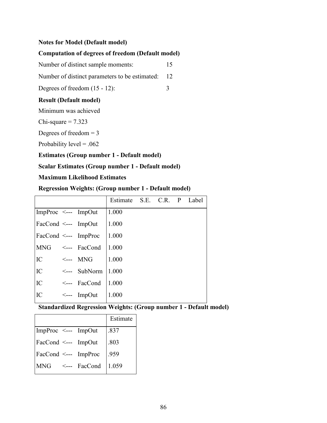#### **Notes for Model (Default model)**

#### **Computation of degrees of freedom (Default model)**

Number of distinct sample moments: 15

Number of distinct parameters to be estimated: 12

Degrees of freedom  $(15 - 12)$ : 3

#### **Result (Default model)**

Minimum was achieved

Chi-square  $= 7.323$ 

Degrees of freedom  $= 3$ 

Probability level  $= .062$ 

**Estimates (Group number 1 - Default model)** 

#### **Scalar Estimates (Group number 1 - Default model)**

#### **Maximum Likelihood Estimates**

#### **Regression Weights: (Group number 1 - Default model)**

|                                       |                         | Estimate S.E. C.R. P Label |  |  |
|---------------------------------------|-------------------------|----------------------------|--|--|
| ImpProc $\leq$ --- ImpOut             |                         | 1.000                      |  |  |
| FacCond $\leq$ --- ImpOut             |                         | 1.000                      |  |  |
| $\text{FacCond} \leq -\text{ImpProc}$ |                         | 1.000                      |  |  |
| <b>MNG</b>                            | $\leq$ --- FacCond      | 1.000                      |  |  |
| IC                                    | $\leftarrow$ MNG        | 1.000                      |  |  |
| IC                                    | $\leftarrow$ SubNorm    | 1.000                      |  |  |
| IC                                    | $\leftarrow$ FacCond    | 1.000                      |  |  |
| IC                                    | $\leftarrow$ --- ImpOut | 1.000                      |  |  |

#### **Standardized Regression Weights: (Group number 1 - Default model)**

|                     |                                | Estimate |
|---------------------|--------------------------------|----------|
| ImpProc <--- ImpOut |                                | .837     |
| FacCond <--- ImpOut |                                | .803     |
|                     | FacCond <--- ImpProc           | .959     |
|                     | MNG $\leq$ --- FacCond   1.059 |          |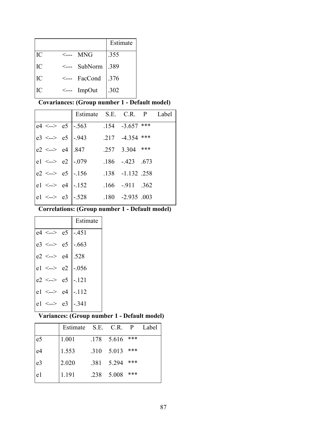|    |                  |                | Estimate |
|----|------------------|----------------|----------|
| IC | <---             | MNG            | .355     |
| IC | $\leftarrow$ --- | SubNorm $.389$ |          |
| IC |                  | <--- FacCond   | .376     |
| IC | $\leftarrow$     | ImpOut         | .302     |

**Covariances: (Group number 1 - Default model)** 

|  | Estimate S.E. C.R. P Label                                                                                                                                  |  |  |
|--|-------------------------------------------------------------------------------------------------------------------------------------------------------------|--|--|
|  | e4 <--> e5   -.563 .154 -3.657 ***                                                                                                                          |  |  |
|  | e3 <--> e5 $\Big  -943$ 217 -4.354 ***                                                                                                                      |  |  |
|  |                                                                                                                                                             |  |  |
|  | $\begin{vmatrix} e2 < -> e4 \\ e1 < -> e2 \end{vmatrix}$ .847 .257 3.304 ***<br>$\begin{vmatrix} .673 & .186 \\ -0.079 & .186 \end{vmatrix}$ .186 .423 .673 |  |  |
|  |                                                                                                                                                             |  |  |
|  |                                                                                                                                                             |  |  |
|  | e2 <--> e5 -.156 .138 -1.132 .258<br>e1 <--> e4 -.152 .166 -.911 .362<br>e1 <--> e3 -.528 .180 -2.935 .003                                                  |  |  |
|  |                                                                                                                                                             |  |  |

**Correlations: (Group number 1 - Default model)** 

|                        |                | Estimate               |
|------------------------|----------------|------------------------|
| $e4 \leq -\geq e5$     |                | $-451$                 |
| $e3 \le -\ge e5$       |                | $-.663$                |
| $e2 \le -$             | e4             | .528                   |
|                        |                | $e1 \le -\ge e2$ -.056 |
| $e2 \le -\ge e5$ -.121 |                |                        |
| $e1 \le -$             | e4             | $-112$                 |
| $e1 \le -2$            | e <sup>3</sup> | -.341                  |

# **Variances: (Group number 1 - Default model)**

|                | Estimate S.E. C.R. P |      |                  |     | Label |
|----------------|----------------------|------|------------------|-----|-------|
| e <sub>5</sub> | 1.001                |      | $.178$ 5.616 *** |     |       |
| e <sup>4</sup> | 1.553                |      | .310 5.013       | *** |       |
| e <sub>3</sub> | 2.020                | .381 | 5.294            | *** |       |
| e1             | 1.191                | .238 | 5.008            | *** |       |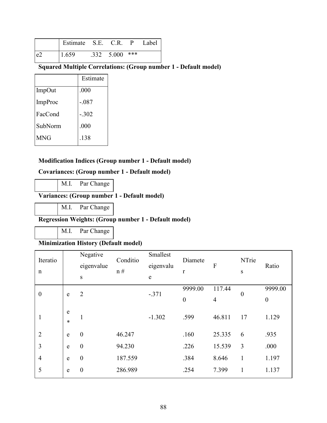|    | Estimate S.E. C.R. |                    | $\mathbf{P}$ | Label |
|----|--------------------|--------------------|--------------|-------|
| e2 | 1.659              | $.332 \quad 5.000$ | ***          |       |

# **Squared Multiple Correlations: (Group number 1 - Default model)**

|                | Estimate |
|----------------|----------|
| <b>ImpOut</b>  | .000     |
| <b>ImpProc</b> | $-.087$  |
| FacCond        | $-.302$  |
| SubNorm        | .000     |
| MNG            | .138     |

#### **Modification Indices (Group number 1 - Default model)**

#### **Covariances: (Group number 1 - Default model)**

M.I. Par Change

### **Variances: (Group number 1 - Default model)**

M.I. Par Change

#### **Regression Weights: (Group number 1 - Default model)**

M.I. Par Change

# **Minimization History (Default model)**

| Iteratio<br>$\mathbf n$ |             | Negative<br>eigenvalue<br>${\bf S}$ | Conditio<br>n# | Smallest<br>eigenvalu<br>$\mathop{\rm e}\nolimits$ | Diamete<br>r     | F      | NTrie<br>S       | Ratio            |
|-------------------------|-------------|-------------------------------------|----------------|----------------------------------------------------|------------------|--------|------------------|------------------|
| $\boldsymbol{0}$        |             | $\overline{2}$                      |                | $-.371$                                            | 9999.00          | 117.44 | $\boldsymbol{0}$ | 9999.00          |
|                         | e           |                                     |                |                                                    | $\boldsymbol{0}$ | 4      |                  | $\boldsymbol{0}$ |
| $\mathbf{I}$            | e<br>$\ast$ | 1                                   |                | $-1.302$                                           | .599             | 46.811 | 17               | 1.129            |
| $\overline{2}$          | e           | $\boldsymbol{0}$                    | 46.247         |                                                    | .160             | 25.335 | 6                | .935             |
| 3                       | e           | $\boldsymbol{0}$                    | 94.230         |                                                    | .226             | 15.539 | 3                | .000             |
| $\overline{4}$          | e           | $\boldsymbol{0}$                    | 187.559        |                                                    | .384             | 8.646  | $\mathbf{1}$     | 1.197            |
| 5                       | e           | $\boldsymbol{0}$                    | 286.989        |                                                    | .254             | 7.399  | 1                | 1.137            |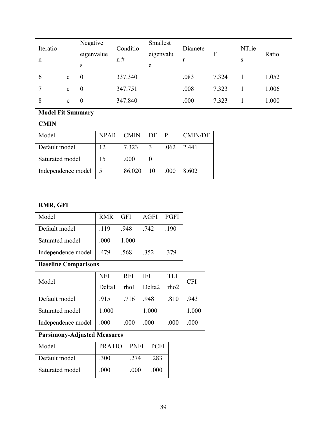| Iteratio<br>n |   | Negative<br>eigenvalue<br>S | Conditio<br>n# | Smallest<br>eigenvalu<br>e | Diamete<br>r | F     | NTrie<br>S | Ratio |
|---------------|---|-----------------------------|----------------|----------------------------|--------------|-------|------------|-------|
| 6             | e | $\theta$                    | 337.340        |                            | .083         | 7.324 |            | 1.052 |
|               | e | U                           | 347.751        |                            | .008         | 7.323 |            | 1.006 |
| 8             | e | $\theta$                    | 347.840        |                            | .000         | 7.323 |            | 1.000 |

**Model Fit Summary** 

#### **CMIN**

| Model                  |    | NPAR CMIN DF P |               |      | <b>CMIN/DF</b> |
|------------------------|----|----------------|---------------|------|----------------|
| Default model          | 12 | 7.323          | $\mathcal{R}$ | .062 | 2.441          |
| Saturated model        | 15 | .000           |               |      |                |
| Independence model   5 |    | 86.020         | 10            | .000 | 8.602          |

# **RMR, GFI**

| Model                     |      |       | RMR GFI AGFI PGFI |      |
|---------------------------|------|-------|-------------------|------|
| Default model             | .119 | .948  | .742              | .190 |
| Saturated model           | .000 | 1.000 |                   |      |
| Independence model   .479 |      | .568  | .352              | .379 |

**Baseline Comparisons** 

| Model              | <b>NFI</b> | <b>RFI</b> | - IFI       | TLI  | CFI    |  |
|--------------------|------------|------------|-------------|------|--------|--|
|                    | Delta1     |            | rho1 Delta2 | rho2 |        |  |
| Default model      | .915       |            | .716 .948   | .810 | .943   |  |
| Saturated model    | 1.000      |            | 1.000       |      | 1.000  |  |
| Independence model | .000       | .000       | .000        | .000 | (1)(1) |  |

# **Parsimony-Adjusted Measures**

| Model           | PRATIO PNFI PCFI |      |      |
|-----------------|------------------|------|------|
| Default model   | .300             | 2.74 | .283 |
| Saturated model | .000             | -000 | .000 |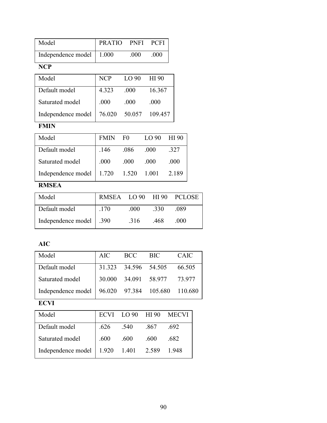| Model                      | PRATIO PNFI PCFI |     |      |
|----------------------------|------------------|-----|------|
| Independence model   1.000 |                  | 000 | .000 |
|                            |                  |     |      |

#### **NCP**

| Model                                  | <b>NCP</b> | LO90 | HI 90   |
|----------------------------------------|------------|------|---------|
| Default model                          | 4.323      | .000 | 16.367  |
| Saturated model                        | .000       | .000 | .000    |
| Independence model   $76.020$ $50.057$ |            |      | 109.457 |

# **FMIN**

| Model              | <b>FMIN</b> | F <sub>0</sub> | LO90  | HI 90 |
|--------------------|-------------|----------------|-------|-------|
| Default model      | .146        | .086           | .000  | .327  |
| Saturated model    | .000        | .000           | .000  | .000  |
| Independence model | 1.720       | 1.520          | 1.001 | 2.189 |

# **RMSEA**

| Model                     |      |       |      | RMSEA LO 90 HI 90 PCLOSE |
|---------------------------|------|-------|------|--------------------------|
| Default model             | .170 | .000. | .330 | -089                     |
| Independence model   .390 |      | .316  | -468 | -000                     |

### **AIC**

| Model                                              | AIC | <b>BCC</b>           | -BIC                        | CAIC   |
|----------------------------------------------------|-----|----------------------|-----------------------------|--------|
| Default model                                      |     | 31.323 34.596 54.505 |                             | 66.505 |
| Saturated model                                    |     |                      | 30.000 34.091 58.977 73.977 |        |
| Independence model   96.020 97.384 105.680 110.680 |     |                      |                             |        |

### **ECVI**

| Model              |       |             |      | ECVI LO 90 HI 90 MECVI |
|--------------------|-------|-------------|------|------------------------|
| Default model      | .626  | .540        | .867 | .692                   |
| Saturated model    | .600  | .600        | .600 | .682                   |
| Independence model | 1.920 | 1.401 2.589 |      | 1.948                  |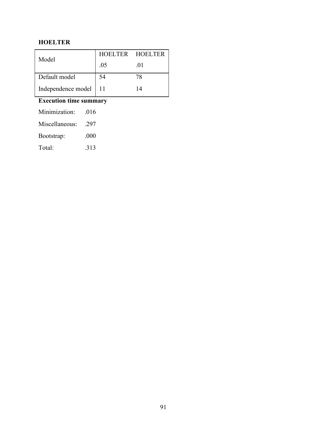### **HOELTER**

|                         | HOELTER HOELTER |     |
|-------------------------|-----------------|-----|
| Model                   | .05             | -01 |
| Default model           | 54              | 78  |
| Independence model   11 |                 | 14  |

# **Execution time summary**

| Minimization:  | .016 |
|----------------|------|
| Miscellaneous: | -297 |
| Bootstrap:     | .000 |
| Total:         | 313  |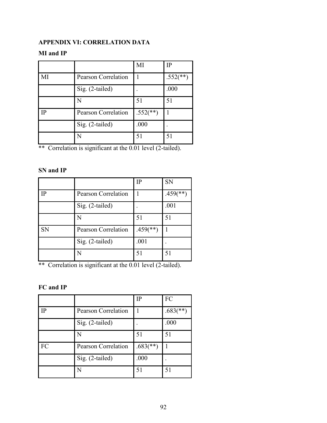### **APPENDIX VI: CORRELATION DATA**

#### **MI and IP**

|    |                     | MI          | $_{\rm IP}$              |
|----|---------------------|-------------|--------------------------|
| МI | Pearson Correlation |             | $.552$ <sup>(**)</sup> ) |
|    | Sig. (2-tailed)     |             | .000                     |
|    | N                   | 51          | 51                       |
| IP | Pearson Correlation | $.552$ (**) |                          |
|    | Sig. (2-tailed)     | .000        |                          |
|    | N                   | 51          | 51                       |

\*\* Correlation is significant at the 0.01 level (2-tailed).

#### **SN and IP**

|           |                            | IP                     | <b>SN</b>                |
|-----------|----------------------------|------------------------|--------------------------|
| ΙP        | <b>Pearson Correlation</b> |                        | $.459$ <sup>(**)</sup> ) |
|           | Sig. (2-tailed)            |                        | .001                     |
|           | N                          | 51                     | 51                       |
| <b>SN</b> | <b>Pearson Correlation</b> | $.459$ <sup>**</sup> ) |                          |
|           | Sig. (2-tailed)            | .001                   |                          |
|           | N                          | 51                     | 51                       |

\*\* Correlation is significant at the 0.01 level (2-tailed).

#### **FC and IP**

|    |                            | IP                       | FC                       |
|----|----------------------------|--------------------------|--------------------------|
| ΙP | <b>Pearson Correlation</b> |                          | $.683$ <sup>(**)</sup> ) |
|    | Sig. (2-tailed)            |                          | .000                     |
|    | N                          | 51                       | 51                       |
| FC | <b>Pearson Correlation</b> | $.683$ <sup>(**)</sup> ) |                          |
|    | Sig. (2-tailed)            | .000                     |                          |
|    | N                          | 51                       | 51                       |